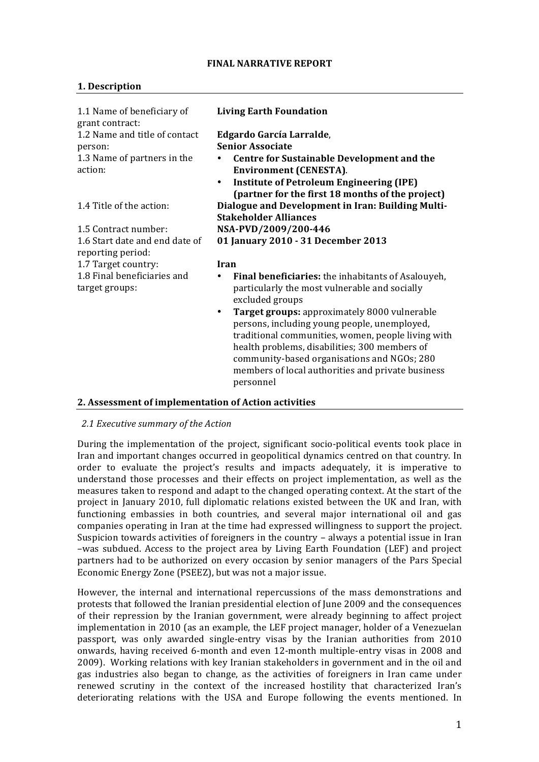#### **FINAL NARRATIVE REPORT**

# **1. Description**

| 1.1 Name of beneficiary of<br>grant contract:       | <b>Living Earth Foundation</b>                                                                                                                                                                                                                                                                                                    |  |
|-----------------------------------------------------|-----------------------------------------------------------------------------------------------------------------------------------------------------------------------------------------------------------------------------------------------------------------------------------------------------------------------------------|--|
| 1.2 Name and title of contact                       | Edgardo García Larralde,                                                                                                                                                                                                                                                                                                          |  |
| person:                                             | <b>Senior Associate</b>                                                                                                                                                                                                                                                                                                           |  |
| 1.3 Name of partners in the<br>action:              | <b>Centre for Sustainable Development and the</b><br>Environment (CENESTA).                                                                                                                                                                                                                                                       |  |
|                                                     | <b>Institute of Petroleum Engineering (IPE)</b><br>$\bullet$<br>(partner for the first 18 months of the project)                                                                                                                                                                                                                  |  |
| 1.4 Title of the action:                            | Dialogue and Development in Iran: Building Multi-<br><b>Stakeholder Alliances</b>                                                                                                                                                                                                                                                 |  |
| 1.5 Contract number:                                | NSA-PVD/2009/200-446                                                                                                                                                                                                                                                                                                              |  |
| 1.6 Start date and end date of<br>reporting period: | 01 January 2010 - 31 December 2013                                                                                                                                                                                                                                                                                                |  |
| 1.7 Target country:                                 | Iran                                                                                                                                                                                                                                                                                                                              |  |
| 1.8 Final beneficiaries and<br>target groups:       | Final beneficiaries: the inhabitants of Asalouyeh,<br>٠<br>particularly the most vulnerable and socially<br>excluded groups                                                                                                                                                                                                       |  |
|                                                     | Target groups: approximately 8000 vulnerable<br>$\bullet$<br>persons, including young people, unemployed,<br>traditional communities, women, people living with<br>health problems, disabilities; 300 members of<br>community-based organisations and NGOs; 280<br>members of local authorities and private business<br>personnel |  |

### **2. Assessment of implementation of Action activities**

### 2.1 Executive summary of the Action

During the implementation of the project, significant socio-political events took place in Iran and important changes occurred in geopolitical dynamics centred on that country. In order to evaluate the project's results and impacts adequately, it is imperative to understand those processes and their effects on project implementation, as well as the measures taken to respond and adapt to the changed operating context. At the start of the project in January 2010, full diplomatic relations existed between the UK and Iran, with functioning embassies in both countries, and several major international oil and gas companies operating in Iran at the time had expressed willingness to support the project. Suspicion towards activities of foreigners in the country  $-$  always a potential issue in Iran –was subdued. Access to the project area by Living Earth Foundation (LEF) and project partners had to be authorized on every occasion by senior managers of the Pars Special Economic Energy Zone (PSEEZ), but was not a major issue.

However, the internal and international repercussions of the mass demonstrations and protests that followed the Iranian presidential election of June 2009 and the consequences of their repression by the Iranian government, were already beginning to affect project implementation in 2010 (as an example, the LEF project manager, holder of a Venezuelan passport, was only awarded single-entry visas by the Iranian authorities from 2010 onwards, having received 6-month and even 12-month multiple-entry visas in 2008 and 2009). Working relations with key Iranian stakeholders in government and in the oil and gas industries also began to change, as the activities of foreigners in Iran came under renewed scrutiny in the context of the increased hostility that characterized Iran's deteriorating relations with the USA and Europe following the events mentioned. In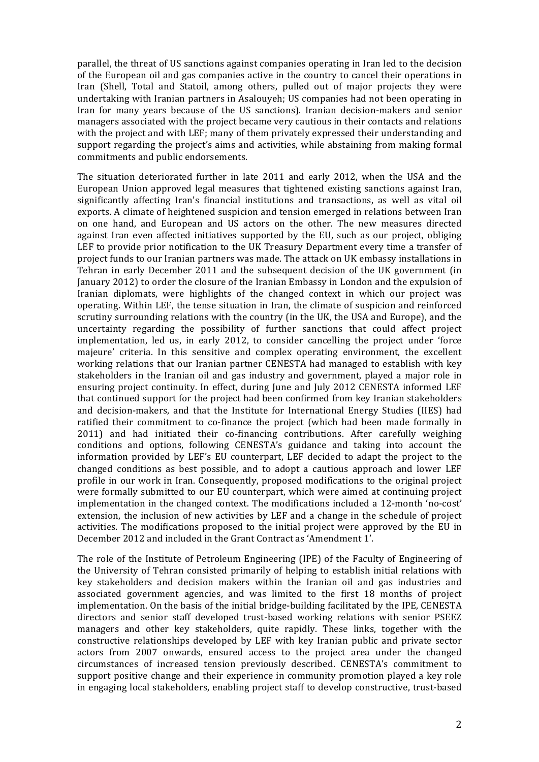parallel, the threat of US sanctions against companies operating in Iran led to the decision of the European oil and gas companies active in the country to cancel their operations in Iran (Shell, Total and Statoil, among others, pulled out of major projects they were undertaking with Iranian partners in Asalouyeh; US companies had not been operating in Iran for many years because of the US sanctions). Iranian decision-makers and senior managers associated with the project became very cautious in their contacts and relations with the project and with LEF; many of them privately expressed their understanding and support regarding the project's aims and activities, while abstaining from making formal commitments and public endorsements.

The situation deteriorated further in late 2011 and early 2012, when the USA and the European Union approved legal measures that tightened existing sanctions against Iran, significantly affecting Iran's financial institutions and transactions, as well as vital oil exports. A climate of heightened suspicion and tension emerged in relations between Iran on one hand, and European and US actors on the other. The new measures directed against Iran even affected initiatives supported by the EU, such as our project, obliging LEF to provide prior notification to the UK Treasury Department every time a transfer of project funds to our Iranian partners was made. The attack on UK embassy installations in Tehran in early December 2011 and the subsequent decision of the UK government (in January 2012) to order the closure of the Iranian Embassy in London and the expulsion of Iranian diplomats, were highlights of the changed context in which our project was operating. Within LEF, the tense situation in Iran, the climate of suspicion and reinforced scrutiny surrounding relations with the country (in the UK, the USA and Europe), and the uncertainty regarding the possibility of further sanctions that could affect project implementation, led us, in early 2012, to consider cancelling the project under 'force majeure' criteria. In this sensitive and complex operating environment, the excellent working relations that our Iranian partner CENESTA had managed to establish with key stakeholders in the Iranian oil and gas industry and government, played a major role in ensuring project continuity. In effect, during June and July 2012 CENESTA informed LEF that continued support for the project had been confirmed from key Iranian stakeholders and decision-makers, and that the Institute for International Energy Studies (IIES) had ratified their commitment to co-finance the project (which had been made formally in 2011) and had initiated their co-financing contributions. After carefully weighing conditions and options, following CENESTA's guidance and taking into account the information provided by LEF's EU counterpart, LEF decided to adapt the project to the changed conditions as best possible, and to adopt a cautious approach and lower LEF profile in our work in Iran. Consequently, proposed modifications to the original project were formally submitted to our EU counterpart, which were aimed at continuing project implementation in the changed context. The modifications included a 12-month 'no-cost' extension, the inclusion of new activities by LEF and a change in the schedule of project activities. The modifications proposed to the initial project were approved by the EU in December 2012 and included in the Grant Contract as 'Amendment 1'.

The role of the Institute of Petroleum Engineering (IPE) of the Faculty of Engineering of the University of Tehran consisted primarily of helping to establish initial relations with key stakeholders and decision makers within the Iranian oil and gas industries and associated government agencies, and was limited to the first 18 months of project implementation. On the basis of the initial bridge-building facilitated by the IPE, CENESTA directors and senior staff developed trust-based working relations with senior PSEEZ managers and other key stakeholders, quite rapidly. These links, together with the constructive relationships developed by LEF with key Iranian public and private sector actors from 2007 onwards, ensured access to the project area under the changed circumstances of increased tension previously described. CENESTA's commitment to support positive change and their experience in community promotion played a key role in engaging local stakeholders, enabling project staff to develop constructive, trust-based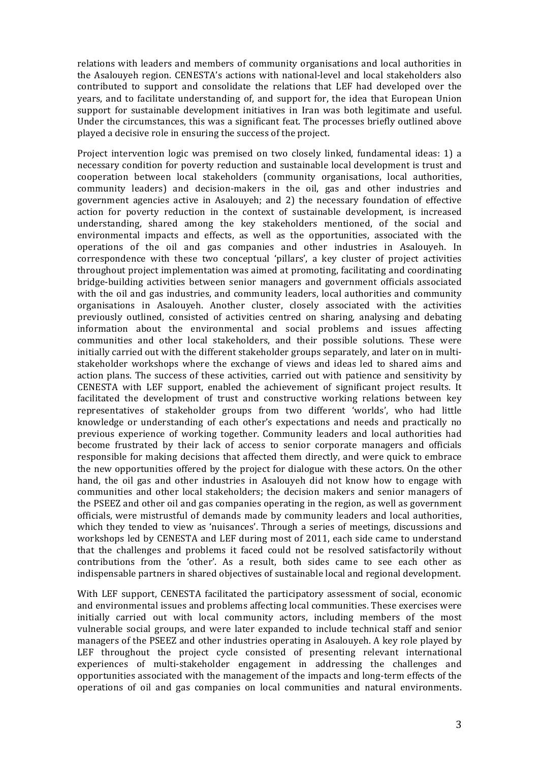relations with leaders and members of community organisations and local authorities in the Asalouyeh region. CENESTA's actions with national-level and local stakeholders also contributed to support and consolidate the relations that LEF had developed over the years, and to facilitate understanding of, and support for, the idea that European Union support for sustainable development initiatives in Iran was both legitimate and useful. Under the circumstances, this was a significant feat. The processes briefly outlined above played a decisive role in ensuring the success of the project.

Project intervention logic was premised on two closely linked, fundamental ideas: 1) a necessary condition for poverty reduction and sustainable local development is trust and cooperation between local stakeholders (community organisations, local authorities, community leaders) and decision-makers in the oil, gas and other industries and government agencies active in Asalouyeh; and 2) the necessary foundation of effective action for poverty reduction in the context of sustainable development, is increased understanding, shared among the key stakeholders mentioned, of the social and environmental impacts and effects, as well as the opportunities, associated with the operations of the oil and gas companies and other industries in Asalouyeh. In correspondence with these two conceptual 'pillars', a key cluster of project activities throughout project implementation was aimed at promoting, facilitating and coordinating bridge-building activities between senior managers and government officials associated with the oil and gas industries, and community leaders, local authorities and community organisations in Asalouyeh. Another cluster, closely associated with the activities previously outlined, consisted of activities centred on sharing, analysing and debating information about the environmental and social problems and issues affecting communities and other local stakeholders, and their possible solutions. These were initially carried out with the different stakeholder groups separately, and later on in multistakeholder workshops where the exchange of views and ideas led to shared aims and action plans. The success of these activities, carried out with patience and sensitivity by CENESTA with LEF support, enabled the achievement of significant project results. It facilitated the development of trust and constructive working relations between key representatives of stakeholder groups from two different 'worlds', who had little knowledge or understanding of each other's expectations and needs and practically no previous experience of working together. Community leaders and local authorities had become frustrated by their lack of access to senior corporate managers and officials responsible for making decisions that affected them directly, and were quick to embrace the new opportunities offered by the project for dialogue with these actors. On the other hand, the oil gas and other industries in Asalouyeh did not know how to engage with communities and other local stakeholders; the decision makers and senior managers of the PSEEZ and other oil and gas companies operating in the region, as well as government officials, were mistrustful of demands made by community leaders and local authorities, which they tended to view as 'nuisances'. Through a series of meetings, discussions and workshops led by CENESTA and LEF during most of 2011, each side came to understand that the challenges and problems it faced could not be resolved satisfactorily without contributions from the 'other'. As a result, both sides came to see each other as indispensable partners in shared objectives of sustainable local and regional development.

With LEF support, CENESTA facilitated the participatory assessment of social, economic and environmental issues and problems affecting local communities. These exercises were initially carried out with local community actors, including members of the most vulnerable social groups, and were later expanded to include technical staff and senior managers of the PSEEZ and other industries operating in Asalouyeh. A key role played by LEF throughout the project cycle consisted of presenting relevant international experiences of multi-stakeholder engagement in addressing the challenges and opportunities associated with the management of the impacts and long-term effects of the operations of oil and gas companies on local communities and natural environments.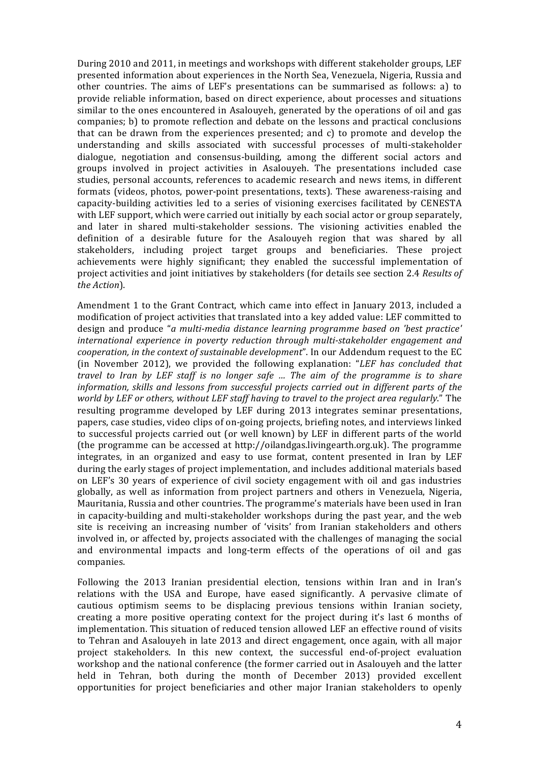During 2010 and 2011, in meetings and workshops with different stakeholder groups, LEF presented information about experiences in the North Sea, Venezuela, Nigeria, Russia and other countries. The aims of LEF's presentations can be summarised as follows: a) to provide reliable information, based on direct experience, about processes and situations similar to the ones encountered in Asalouyeh, generated by the operations of oil and gas companies; b) to promote reflection and debate on the lessons and practical conclusions that can be drawn from the experiences presented; and  $c$ ) to promote and develop the understanding and skills associated with successful processes of multi-stakeholder dialogue, negotiation and consensus-building, among the different social actors and groups involved in project activities in Asalouyeh. The presentations included case studies, personal accounts, references to academic research and news items, in different formats (videos, photos, power-point presentations, texts). These awareness-raising and capacity-building activities led to a series of visioning exercises facilitated by CENESTA with LEF support, which were carried out initially by each social actor or group separately, and later in shared multi-stakeholder sessions. The visioning activities enabled the definition of a desirable future for the Asalouyeh region that was shared by all stakeholders, including project target groups and beneficiaries. These project achievements were highly significant; they enabled the successful implementation of project activities and joint initiatives by stakeholders (for details see section 2.4 *Results of the Action*).

Amendment 1 to the Grant Contract, which came into effect in January 2013, included a modification of project activities that translated into a key added value: LEF committed to design and produce "*a* multi-media distance learning programme based on 'best practice' *international experience in poverty reduction through multi-stakeholder engagement and cooperation, in the context of sustainable development*". In our Addendum request to the EC (in November 2012), we provided the following explanation: *"LEF has concluded that travel* to *Iran* by *LEF* staff is no longer safe ... The aim of the programme is to share information, skills and lessons from successful projects carried out in different parts of the *world* by LEF or others, without LEF staff having to travel to the project area regularly." The resulting programme developed by LEF during 2013 integrates seminar presentations, papers, case studies, video clips of on-going projects, briefing notes, and interviews linked to successful projects carried out (or well known) by LEF in different parts of the world (the programme can be accessed at http://oilandgas.livingearth.org.uk). The programme integrates, in an organized and easy to use format, content presented in Iran by LEF during the early stages of project implementation, and includes additional materials based on LEF's 30 years of experience of civil society engagement with oil and gas industries globally, as well as information from project partners and others in Venezuela, Nigeria, Mauritania, Russia and other countries. The programme's materials have been used in Iran in capacity-building and multi-stakeholder workshops during the past year, and the web site is receiving an increasing number of 'visits' from Iranian stakeholders and others involved in, or affected by, projects associated with the challenges of managing the social and environmental impacts and long-term effects of the operations of oil and gas companies.

Following the 2013 Iranian presidential election, tensions within Iran and in Iran's relations with the USA and Europe, have eased significantly. A pervasive climate of cautious optimism seems to be displacing previous tensions within Iranian society, creating a more positive operating context for the project during it's last  $6$  months of implementation. This situation of reduced tension allowed LEF an effective round of visits to Tehran and Asalouyeh in late 2013 and direct engagement, once again, with all major project stakeholders. In this new context, the successful end-of-project evaluation workshop and the national conference (the former carried out in Asalouyeh and the latter held in Tehran, both during the month of December 2013) provided excellent opportunities for project beneficiaries and other major Iranian stakeholders to openly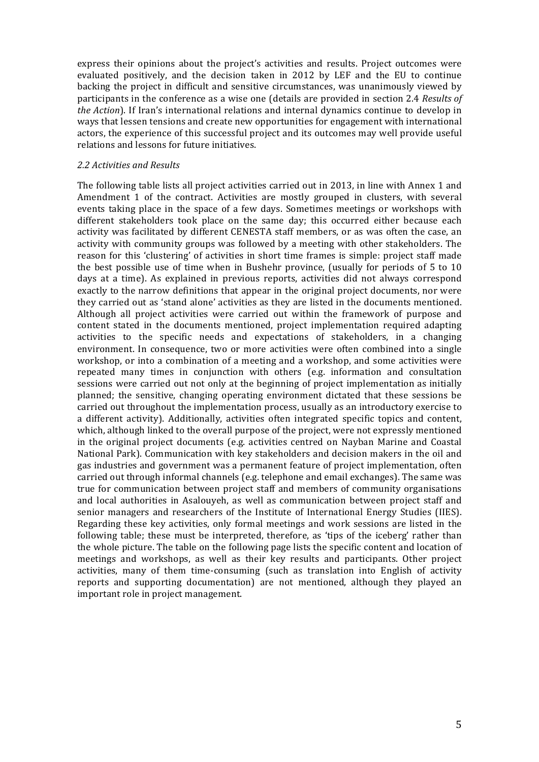express their opinions about the project's activities and results. Project outcomes were evaluated positively, and the decision taken in 2012 by LEF and the EU to continue backing the project in difficult and sensitive circumstances, was unanimously viewed by participants in the conference as a wise one (details are provided in section 2.4 *Results of the Action*). If Iran's international relations and internal dynamics continue to develop in ways that lessen tensions and create new opportunities for engagement with international actors, the experience of this successful project and its outcomes may well provide useful relations and lessons for future initiatives.

#### *2.2 Activities and Results*

The following table lists all project activities carried out in 2013, in line with Annex 1 and Amendment 1 of the contract. Activities are mostly grouped in clusters, with several events taking place in the space of a few days. Sometimes meetings or workshops with different stakeholders took place on the same day; this occurred either because each activity was facilitated by different CENESTA staff members, or as was often the case, an activity with community groups was followed by a meeting with other stakeholders. The reason for this 'clustering' of activities in short time frames is simple: project staff made the best possible use of time when in Bushehr province, (usually for periods of  $5$  to  $10$ days at a time). As explained in previous reports, activities did not always correspond exactly to the narrow definitions that appear in the original project documents, nor were they carried out as 'stand alone' activities as they are listed in the documents mentioned. Although all project activities were carried out within the framework of purpose and content stated in the documents mentioned, project implementation required adapting activities to the specific needs and expectations of stakeholders, in a changing environment. In consequence, two or more activities were often combined into a single workshop, or into a combination of a meeting and a workshop, and some activities were repeated many times in conjunction with others (e.g. information and consultation sessions were carried out not only at the beginning of project implementation as initially planned; the sensitive, changing operating environment dictated that these sessions be carried out throughout the implementation process, usually as an introductory exercise to a different activity). Additionally, activities often integrated specific topics and content, which, although linked to the overall purpose of the project, were not expressly mentioned in the original project documents (e.g. activities centred on Nayban Marine and Coastal National Park). Communication with key stakeholders and decision makers in the oil and gas industries and government was a permanent feature of project implementation, often carried out through informal channels (e.g. telephone and email exchanges). The same was true for communication between project staff and members of community organisations and local authorities in Asalouveh, as well as communication between project staff and senior managers and researchers of the Institute of International Energy Studies (IIES). Regarding these key activities, only formal meetings and work sessions are listed in the following table; these must be interpreted, therefore, as 'tips of the iceberg' rather than the whole picture. The table on the following page lists the specific content and location of meetings and workshops, as well as their key results and participants. Other project activities, many of them time-consuming (such as translation into English of activity reports and supporting documentation) are not mentioned, although they played an important role in project management.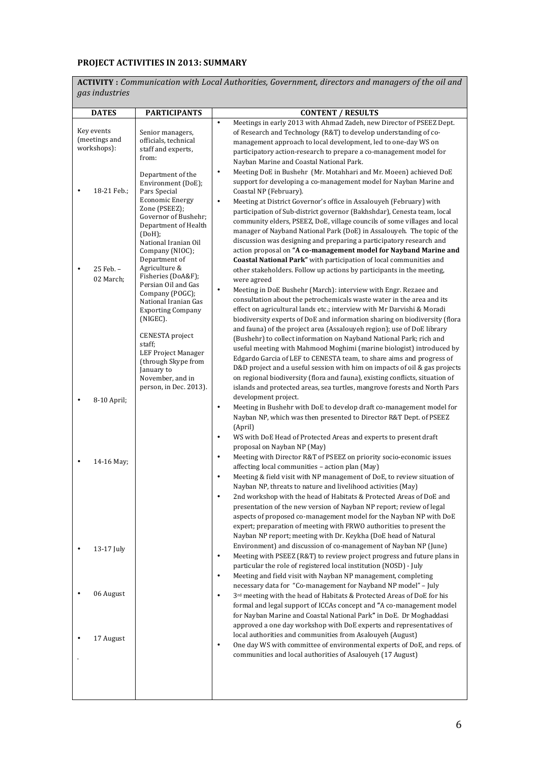# **PROJECT ACTIVITIES IN 2013: SUMMARY**

**ACTIVITY** : Communication with Local Authorities, Government, directors and managers of the oil and *gas industries*

| <b>DATES</b>                               | <b>PARTICIPANTS</b>                                                                                                                                                                           | <b>CONTENT / RESULTS</b><br>Meetings in early 2013 with Ahmad Zadeh, new Director of PSEEZ Dept.<br>$\bullet$                                                                                                                                                                                                                                                                                                                                                                                                                                                                                                                                                                             |
|--------------------------------------------|-----------------------------------------------------------------------------------------------------------------------------------------------------------------------------------------------|-------------------------------------------------------------------------------------------------------------------------------------------------------------------------------------------------------------------------------------------------------------------------------------------------------------------------------------------------------------------------------------------------------------------------------------------------------------------------------------------------------------------------------------------------------------------------------------------------------------------------------------------------------------------------------------------|
| Key events<br>(meetings and<br>workshops): | Senior managers,<br>officials, technical<br>staff and experts,<br>from:                                                                                                                       | of Research and Technology (R&T) to develop understanding of co-<br>management approach to local development, led to one-day WS on<br>participatory action-research to prepare a co-management model for<br>Nayban Marine and Coastal National Park.                                                                                                                                                                                                                                                                                                                                                                                                                                      |
| 18-21 Feb.;                                | Department of the<br>Environment (DoE);<br>Pars Special<br><b>Economic Energy</b><br>Zone (PSEEZ);<br>Governor of Bushehr;<br>Department of Health<br>(DoH);                                  | Meeting DoE in Bushehr (Mr. Motahhari and Mr. Moeen) achieved DoE<br>$\bullet$<br>support for developing a co-management model for Nayban Marine and<br>Coastal NP (February).<br>Meeting at District Governor's office in Assalouyeh (February) with<br>$\bullet$<br>participation of Sub-district governor (Bakhshdar), Cenesta team, local<br>community elders, PSEEZ, DoE, village councils of some villages and local<br>manager of Nayband National Park (DoE) in Assalouyeh. The topic of the                                                                                                                                                                                      |
| 25 Feb. -<br>02 March;                     | National Iranian Oil<br>Company (NIOC);<br>Department of<br>Agriculture &<br>Fisheries (DoA&F);<br>Persian Oil and Gas<br>Company (POGC);<br>National Iranian Gas<br><b>Exporting Company</b> | discussion was designing and preparing a participatory research and<br>action proposal on "A co-management model for Nayband Marine and<br>Coastal National Park" with participation of local communities and<br>other stakeholders. Follow up actions by participants in the meeting,<br>were agreed<br>Meeting in DoE Bushehr (March): interview with Engr. Rezaee and<br>$\bullet$<br>consultation about the petrochemicals waste water in the area and its<br>effect on agricultural lands etc.; interview with Mr Darvishi & Moradi                                                                                                                                                  |
|                                            | (NIGEC).<br><b>CENESTA</b> project<br>staff;<br><b>LEF Project Manager</b><br>(through Skype from<br>January to<br>November, and in<br>person, in Dec. 2013).                                 | biodiversity experts of DoE and information sharing on biodiversity (flora<br>and fauna) of the project area (Assalouyeh region); use of DoE library<br>(Bushehr) to collect information on Nayband National Park; rich and<br>useful meeting with Mahmood Moghimi (marine biologist) introduced by<br>Edgardo Garcia of LEF to CENESTA team, to share aims and progress of<br>D&D project and a useful session with him on impacts of oil & gas projects<br>on regional biodiversity (flora and fauna), existing conflicts, situation of<br>islands and protected areas, sea turtles, mangrove forests and North Pars<br>development project.                                            |
| 8-10 April;                                |                                                                                                                                                                                               | Meeting in Bushehr with DoE to develop draft co-management model for<br>$\bullet$<br>Nayban NP, which was then presented to Director R&T Dept. of PSEEZ<br>(April)<br>WS with DoE Head of Protected Areas and experts to present draft<br>$\bullet$                                                                                                                                                                                                                                                                                                                                                                                                                                       |
| 14-16 May;                                 |                                                                                                                                                                                               | proposal on Nayban NP (May)<br>Meeting with Director R&T of PSEEZ on priority socio-economic issues<br>$\bullet$<br>affecting local communities - action plan (May)<br>Meeting & field visit with NP management of DoE, to review situation of<br>$\bullet$<br>Nayban NP, threats to nature and livelihood activities (May)<br>2nd workshop with the head of Habitats & Protected Areas of DoE and<br>presentation of the new version of Nayban NP report; review of legal<br>aspects of proposed co-management model for the Nayban NP with DoE<br>expert; preparation of meeting with FRWO authorities to present the<br>Nayban NP report; meeting with Dr. Keykha (DoE head of Natural |
| 13-17 July                                 |                                                                                                                                                                                               | Environment) and discussion of co-management of Nayban NP (June)<br>Meeting with PSEEZ (R&T) to review project progress and future plans in<br>$\bullet$<br>particular the role of registered local institution (NOSD) - July<br>Meeting and field visit with Nayban NP management, completing<br>$\bullet$<br>necessary data for "Co-management for Nayband NP model" - July                                                                                                                                                                                                                                                                                                             |
| 06 August                                  |                                                                                                                                                                                               | 3rd meeting with the head of Habitats & Protected Areas of DoE for his<br>$\bullet$<br>formal and legal support of ICCAs concept and "A co-management model<br>for Nayban Marine and Coastal National Park" in DoE. Dr Moghaddasi<br>approved a one day workshop with DoE experts and representatives of                                                                                                                                                                                                                                                                                                                                                                                  |
| 17 August                                  |                                                                                                                                                                                               | local authorities and communities from Asalouyeh (August)<br>One day WS with committee of environmental experts of DoE, and reps. of<br>$\bullet$<br>communities and local authorities of Asalouyeh (17 August)                                                                                                                                                                                                                                                                                                                                                                                                                                                                           |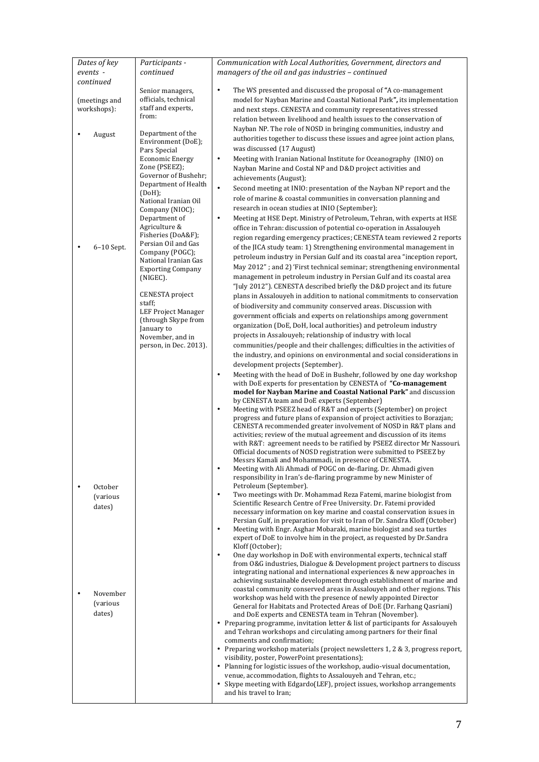| Dates of key<br>events -                            | Participants -<br>continued                                                                                                                                                                                                                                                                                          | Communication with Local Authorities, Government, directors and<br>managers of the oil and gas industries - continued                                                                                                                                                                                                                                                                                                                                                                                                                                                                                                                                                                                                                                                                                                                                                                                                                                                                                                                                                                                                                                                                                                                                                                                                                                                                                                                                                                                                                                                                                                                                                                                                                                                                                                                                                             |  |
|-----------------------------------------------------|----------------------------------------------------------------------------------------------------------------------------------------------------------------------------------------------------------------------------------------------------------------------------------------------------------------------|-----------------------------------------------------------------------------------------------------------------------------------------------------------------------------------------------------------------------------------------------------------------------------------------------------------------------------------------------------------------------------------------------------------------------------------------------------------------------------------------------------------------------------------------------------------------------------------------------------------------------------------------------------------------------------------------------------------------------------------------------------------------------------------------------------------------------------------------------------------------------------------------------------------------------------------------------------------------------------------------------------------------------------------------------------------------------------------------------------------------------------------------------------------------------------------------------------------------------------------------------------------------------------------------------------------------------------------------------------------------------------------------------------------------------------------------------------------------------------------------------------------------------------------------------------------------------------------------------------------------------------------------------------------------------------------------------------------------------------------------------------------------------------------------------------------------------------------------------------------------------------------|--|
| continued<br>(meetings and<br>workshops):<br>August | Senior managers,<br>officials, technical<br>staff and experts,<br>from:<br>Department of the<br>Environment (DoE);<br>Pars Special<br><b>Economic Energy</b><br>Zone (PSEEZ);<br>Governor of Bushehr;<br>Department of Health<br>(DoH);<br>National Iranian Oil<br>Company (NIOC);<br>Department of<br>Agriculture & | $\bullet$<br>The WS presented and discussed the proposal of "A co-management"<br>model for Nayban Marine and Coastal National Park", its implementation<br>and next steps. CENESTA and community representatives stressed<br>relation between livelihood and health issues to the conservation of<br>Nayban NP. The role of NOSD in bringing communities, industry and<br>authorities together to discuss these issues and agree joint action plans,<br>was discussed (17 August)<br>Meeting with Iranian National Institute for Oceanography (INIO) on<br>$\bullet$<br>Nayban Marine and Costal NP and D&D project activities and<br>achievements (August);<br>$\bullet$<br>Second meeting at INIO: presentation of the Nayban NP report and the<br>role of marine & coastal communities in conversation planning and<br>research in ocean studies at INIO (September);<br>Meeting at HSE Dept. Ministry of Petroleum, Tehran, with experts at HSE<br>٠<br>office in Tehran: discussion of potential co-operation in Assalouyeh                                                                                                                                                                                                                                                                                                                                                                                                                                                                                                                                                                                                                                                                                                                                                                                                                                                  |  |
| 6-10 Sept.                                          | Fisheries (DoA&F);<br>Persian Oil and Gas<br>Company (POGC);<br>National Iranian Gas<br><b>Exporting Company</b><br>(NIGEC).<br>CENESTA project<br>staff;<br><b>LEF Project Manager</b><br>(through Skype from<br>January to<br>November, and in<br>person, in Dec. 2013).                                           | region regarding emergency practices; CENESTA team reviewed 2 reports<br>of the JICA study team: 1) Strengthening environmental management in<br>petroleum industry in Persian Gulf and its coastal area "inception report,<br>May 2012"; and 2) 'First technical seminar; strengthening environmental<br>management in petroleum industry in Persian Gulf and its coastal area<br>"July 2012"). CENESTA described briefly the D&D project and its future<br>plans in Assalouyeh in addition to national commitments to conservation<br>of biodiversity and community conserved areas. Discussion with<br>government officials and experts on relationships among government<br>organization (DoE, DoH, local authorities) and petroleum industry<br>projects in Assalouyeh; relationship of industry with local<br>communities/people and their challenges; difficulties in the activities of<br>the industry, and opinions on environmental and social considerations in<br>development projects (September).<br>Meeting with the head of DoE in Bushehr, followed by one day workshop<br>٠<br>with DoE experts for presentation by CENESTA of "Co-management<br>model for Nayban Marine and Coastal National Park" and discussion<br>by CENESTA team and DoE experts (September)<br>$\bullet$<br>Meeting with PSEEZ head of R&T and experts (September) on project<br>progress and future plans of expansion of project activities to Borazjan;<br>CENESTA recommended greater involvement of NOSD in R&T plans and<br>activities; review of the mutual agreement and discussion of its items<br>with R&T: agreement needs to be ratified by PSEEZ director Mr Nassouri.<br>Official documents of NOSD registration were submitted to PSEEZ by<br>Messrs Kamali and Mohammadi, in presence of CENESTA.<br>Meeting with Ali Ahmadi of POGC on de-flaring. Dr. Ahmadi given<br>٠ |  |
| October<br>(various<br>dates)                       |                                                                                                                                                                                                                                                                                                                      | responsibility in Iran's de-flaring programme by new Minister of<br>Petroleum (September).<br>Two meetings with Dr. Mohammad Reza Fatemi, marine biologist from<br>٠<br>Scientific Research Centre of Free University. Dr. Fatemi provided<br>necessary information on key marine and coastal conservation issues in<br>Persian Gulf, in preparation for visit to Iran of Dr. Sandra Kloff (October)<br>$\bullet$<br>Meeting with Engr. Asghar Mobaraki, marine biologist and sea turtles<br>expert of DoE to involve him in the project, as requested by Dr.Sandra<br>Kloff (October);<br>One day workshop in DoE with environmental experts, technical staff<br>$\bullet$<br>from O&G industries, Dialogue & Development project partners to discuss<br>integrating national and international experiences & new approaches in<br>achieving sustainable development through establishment of marine and                                                                                                                                                                                                                                                                                                                                                                                                                                                                                                                                                                                                                                                                                                                                                                                                                                                                                                                                                                         |  |
| November<br>(various<br>dates)                      |                                                                                                                                                                                                                                                                                                                      | coastal community conserved areas in Assalouyeh and other regions. This<br>workshop was held with the presence of newly appointed Director<br>General for Habitats and Protected Areas of DoE (Dr. Farhang Qasriani)<br>and DoE experts and CENESTA team in Tehran (November).<br>• Preparing programme, invitation letter & list of participants for Assalouyeh<br>and Tehran workshops and circulating among partners for their final<br>comments and confirmation;<br>• Preparing workshop materials (project newsletters 1, 2 & 3, progress report,<br>visibility, poster, PowerPoint presentations);<br>• Planning for logistic issues of the workshop, audio-visual documentation,<br>venue, accommodation, flights to Assalouyeh and Tehran, etc.;<br>• Skype meeting with Edgardo (LEF), project issues, workshop arrangements<br>and his travel to Iran;                                                                                                                                                                                                                                                                                                                                                                                                                                                                                                                                                                                                                                                                                                                                                                                                                                                                                                                                                                                                                 |  |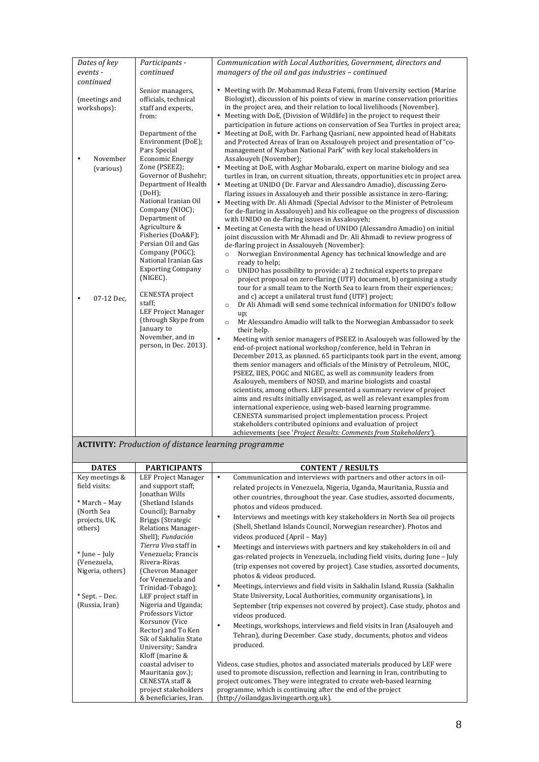| Dates of key                       | Participants -                                                                                                                                                                                                                            | Communication with Local Authorities, Government, directors and                                                                                                                                                                                                                                                                                                                                                                                                                                                                                                                                                                                                                                                                                                                                                                                                                                                                                                            |  |  |  |
|------------------------------------|-------------------------------------------------------------------------------------------------------------------------------------------------------------------------------------------------------------------------------------------|----------------------------------------------------------------------------------------------------------------------------------------------------------------------------------------------------------------------------------------------------------------------------------------------------------------------------------------------------------------------------------------------------------------------------------------------------------------------------------------------------------------------------------------------------------------------------------------------------------------------------------------------------------------------------------------------------------------------------------------------------------------------------------------------------------------------------------------------------------------------------------------------------------------------------------------------------------------------------|--|--|--|
| events -                           | continued                                                                                                                                                                                                                                 | managers of the oil and gas industries - continued                                                                                                                                                                                                                                                                                                                                                                                                                                                                                                                                                                                                                                                                                                                                                                                                                                                                                                                         |  |  |  |
| continued                          |                                                                                                                                                                                                                                           |                                                                                                                                                                                                                                                                                                                                                                                                                                                                                                                                                                                                                                                                                                                                                                                                                                                                                                                                                                            |  |  |  |
| (meetings and<br>workshops):       | Senior managers,<br>officials, technical<br>staff and experts,<br>from:                                                                                                                                                                   | • Meeting with Dr. Mohammad Reza Fatemi, from University section (Marine<br>Biologist), discussion of his points of view in marine conservation priorities<br>in the project area, and their relation to local livelihoods (November).<br>• Meeting with DoE, (Division of Wildlife) in the project to request their                                                                                                                                                                                                                                                                                                                                                                                                                                                                                                                                                                                                                                                       |  |  |  |
| November<br>$\bullet$<br>(various) | Department of the<br>Environment (DoE);<br>Pars Special<br><b>Economic Energy</b><br>Zone (PSEEZ);<br>Governor of Bushehr;<br>Department of Health<br>(DoH);<br>National Iranian Oil<br>Company (NIOC);<br>Department of<br>Agriculture & | participation in future actions on conservation of Sea Turtles in project area;<br>• Meeting at DoE, with Dr. Farhang Qasriani, new appointed head of Habitats<br>and Protected Areas of Iran on Assalouveh project and presentation of "co-<br>management of Nayban National Park" with key local stakeholders in<br>Assalouyeh (November);<br>• Meeting at DoE, with Asghar Mobaraki, expert on marine biology and sea<br>turtles in Iran, on current situation, threats, opportunities etc in project area.<br>• Meeting at UNIDO (Dr. Farvar and Alessandro Amadio), discussing Zero-<br>flaring issues in Assalouyeh and their possible assistance in zero-flaring;<br>• Meeting with Dr. Ali Ahmadi (Special Advisor to the Minister of Petroleum<br>for de-flaring in Assalouyeh) and his colleague on the progress of discussion<br>with UNIDO on de-flaring issues in Assalouyeh;<br>• Meeting at Cenesta with the head of UNIDO (Alessandro Amadio) on initial   |  |  |  |
| 07-12 Dec.                         | Fisheries (DoA&F);<br>Persian Oil and Gas<br>Company (POGC);<br>National Iranian Gas<br><b>Exporting Company</b><br>(NIGEC).<br>CENESTA project<br>staff;                                                                                 | joint discussion with Mr Ahmadi and Dr. Ali Ahmadi to review progress of<br>de-flaring project in Assalouyeh (November):<br>Norwegian Environmental Agency has technical knowledge and are<br>$\circ$<br>ready to help;<br>UNIDO has possibility to provide: a) 2 technical experts to prepare<br>$\circ$<br>project proposal on zero-flaring (UTF) document, b) organising a study<br>tour for a small team to the North Sea to learn from their experiences;<br>and c) accept a unilateral trust fund (UTF) project;<br>Dr Ali Ahmadi will send some technical information for UNIDO's follow<br>$\circ$                                                                                                                                                                                                                                                                                                                                                                 |  |  |  |
|                                    | <b>LEF Project Manager</b><br>(through Skype from<br>January to<br>November, and in<br>person, in Dec. 2013).                                                                                                                             | up;<br>Mr Alessandro Amadio will talk to the Norwegian Ambassador to seek<br>$\circ$<br>their help.<br>$\bullet$<br>Meeting with senior managers of PSEEZ in Asalouyeh was followed by the<br>end-of-project national workshop/conference, held in Tehran in<br>December 2013, as planned. 65 participants took part in the event, among<br>them senior managers and officials of the Ministry of Petroleum, NIOC,<br>PSEEZ, IIES, POGC and NIGEC, as well as community leaders from<br>Asalouyeh, members of NOSD, and marine biologists and coastal<br>scientists, among others. LEF presented a summary review of project<br>aims and results initially envisaged, as well as relevant examples from<br>international experience, using web-based learning programme.<br>CENESTA summarised project implementation process. Project<br>stakeholders contributed opinions and evaluation of project<br>achievements (see 'Project Results: Comments from Stakeholders'). |  |  |  |
|                                    | <b>ACTIVITY:</b> Production of distance learning programme                                                                                                                                                                                |                                                                                                                                                                                                                                                                                                                                                                                                                                                                                                                                                                                                                                                                                                                                                                                                                                                                                                                                                                            |  |  |  |
| <b>DATES</b>                       | <b>PARTICIPANTS</b>                                                                                                                                                                                                                       | <b>CONTENT / RESULTS</b>                                                                                                                                                                                                                                                                                                                                                                                                                                                                                                                                                                                                                                                                                                                                                                                                                                                                                                                                                   |  |  |  |
| Key meetings &                     | <b>LEF Project Manager</b>                                                                                                                                                                                                                | Communication and interviews with partners and other actors in oil-<br>$\bullet$                                                                                                                                                                                                                                                                                                                                                                                                                                                                                                                                                                                                                                                                                                                                                                                                                                                                                           |  |  |  |
| field visits:                      | and support staff;                                                                                                                                                                                                                        | related projects in Venezuela, Nigeria, Uganda, Mauritania, Russia and                                                                                                                                                                                                                                                                                                                                                                                                                                                                                                                                                                                                                                                                                                                                                                                                                                                                                                     |  |  |  |
|                                    | Jonathan Wills                                                                                                                                                                                                                            | other countries, throughout the year. Case studies, assorted documents,                                                                                                                                                                                                                                                                                                                                                                                                                                                                                                                                                                                                                                                                                                                                                                                                                                                                                                    |  |  |  |
| * March – May                      | (Shetland Islands                                                                                                                                                                                                                         | photos and videos produced.                                                                                                                                                                                                                                                                                                                                                                                                                                                                                                                                                                                                                                                                                                                                                                                                                                                                                                                                                |  |  |  |
| (North Sea                         | Council); Barnaby                                                                                                                                                                                                                         | Interviews and meetings with key stakeholders in North Sea oil projects<br>$\bullet$                                                                                                                                                                                                                                                                                                                                                                                                                                                                                                                                                                                                                                                                                                                                                                                                                                                                                       |  |  |  |
| projects, UK,<br>others)           | Briggs (Strategic<br><b>Relations Manager-</b>                                                                                                                                                                                            | (Shell, Shetland Islands Council, Norwegian researcher). Photos and                                                                                                                                                                                                                                                                                                                                                                                                                                                                                                                                                                                                                                                                                                                                                                                                                                                                                                        |  |  |  |
|                                    | Shell); Fundación                                                                                                                                                                                                                         | videos produced (April - May)                                                                                                                                                                                                                                                                                                                                                                                                                                                                                                                                                                                                                                                                                                                                                                                                                                                                                                                                              |  |  |  |
|                                    | Tierra Viva staff in                                                                                                                                                                                                                      | Meetings and interviews with partners and key stakeholders in oil and<br>$\bullet$                                                                                                                                                                                                                                                                                                                                                                                                                                                                                                                                                                                                                                                                                                                                                                                                                                                                                         |  |  |  |
| * June - July                      | Venezuela; Francis                                                                                                                                                                                                                        | gas-related projects in Venezuela, including field visits, during June - July                                                                                                                                                                                                                                                                                                                                                                                                                                                                                                                                                                                                                                                                                                                                                                                                                                                                                              |  |  |  |
| (Venezuela,                        | Rivera-Rivas                                                                                                                                                                                                                              | (trip expenses not covered by project). Case studies, assorted documents,                                                                                                                                                                                                                                                                                                                                                                                                                                                                                                                                                                                                                                                                                                                                                                                                                                                                                                  |  |  |  |
| Nigeria, others)                   | (Chevron Manager                                                                                                                                                                                                                          | photos & videos produced.                                                                                                                                                                                                                                                                                                                                                                                                                                                                                                                                                                                                                                                                                                                                                                                                                                                                                                                                                  |  |  |  |
|                                    | for Venezuela and                                                                                                                                                                                                                         | Meetings, interviews and field visits in Sakhalin Island, Russia (Sakhalin<br>$\bullet$                                                                                                                                                                                                                                                                                                                                                                                                                                                                                                                                                                                                                                                                                                                                                                                                                                                                                    |  |  |  |
| * Sept. - Dec.<br>(Russia, Iran)   | Trinidad-Tobago);<br>LEF project staff in<br>Nigeria and Uganda;                                                                                                                                                                          | State University, Local Authorities, community organisations), in<br>September (trip expenses not covered by project). Case study, photos and                                                                                                                                                                                                                                                                                                                                                                                                                                                                                                                                                                                                                                                                                                                                                                                                                              |  |  |  |
|                                    | Professors Victor                                                                                                                                                                                                                         | videos produced.                                                                                                                                                                                                                                                                                                                                                                                                                                                                                                                                                                                                                                                                                                                                                                                                                                                                                                                                                           |  |  |  |
|                                    | Korsunov (Vice<br>Rector) and To Ken                                                                                                                                                                                                      | Meetings, workshops, interviews and field visits in Iran (Asalouyeh and<br>$\bullet$                                                                                                                                                                                                                                                                                                                                                                                                                                                                                                                                                                                                                                                                                                                                                                                                                                                                                       |  |  |  |
|                                    | Sik of Sakhalin State                                                                                                                                                                                                                     | Tehran), during December. Case study, documents, photos and videos                                                                                                                                                                                                                                                                                                                                                                                                                                                                                                                                                                                                                                                                                                                                                                                                                                                                                                         |  |  |  |
|                                    | University; Sandra                                                                                                                                                                                                                        | produced.                                                                                                                                                                                                                                                                                                                                                                                                                                                                                                                                                                                                                                                                                                                                                                                                                                                                                                                                                                  |  |  |  |
|                                    | Kloff (marine &                                                                                                                                                                                                                           |                                                                                                                                                                                                                                                                                                                                                                                                                                                                                                                                                                                                                                                                                                                                                                                                                                                                                                                                                                            |  |  |  |
|                                    | coastal adviser to<br>Mauritania gov.);<br>CENESTA staff &                                                                                                                                                                                | Videos, case studies, photos and associated materials produced by LEF were<br>used to promote discussion, reflection and learning in Iran, contributing to<br>project outcomes. They were integrated to create web-based learning                                                                                                                                                                                                                                                                                                                                                                                                                                                                                                                                                                                                                                                                                                                                          |  |  |  |

programme, which is continuing after the end of the project

(http://oilandgas.livingearth.org.uk).

project stakeholders & beneficiaries, Iran.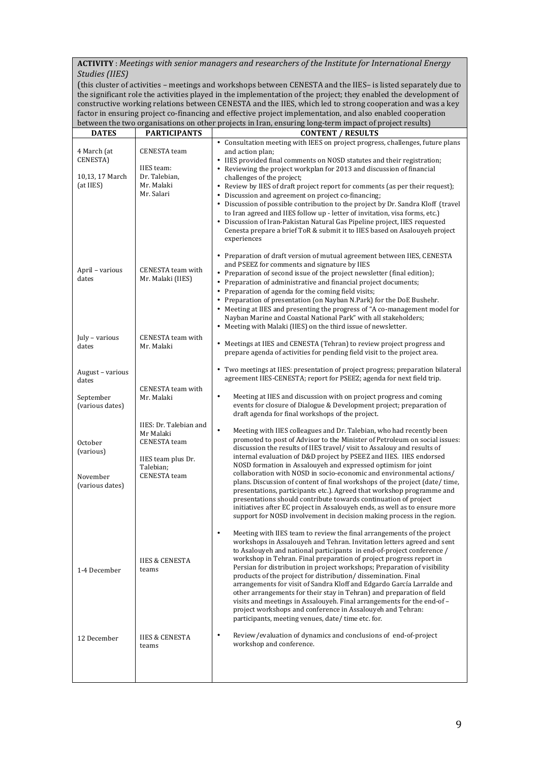### ACTIVITY : Meetings with senior managers and researchers of the Institute for International Energy *Studies (IIES)*

(this cluster of activities - meetings and workshops between CENESTA and the IIES- is listed separately due to the significant role the activities played in the implementation of the project; they enabled the development of constructive working relations between CENESTA and the IIES, which led to strong cooperation and was a key factor in ensuring project co-financing and effective project implementation, and also enabled cooperation between the two organisations on other projects in Iran, ensuring long-term impact of project results)

| <b>DATES</b>                                                           | <b>PARTICIPANTS</b>                                                                                                  | <b>CONTENT / RESULTS</b>                                                                                                                                                                                                                                                                                                                                                                                                                                                                                                                                                                                                                                                                                                                                                                                                                                                                                                                                                |  |
|------------------------------------------------------------------------|----------------------------------------------------------------------------------------------------------------------|-------------------------------------------------------------------------------------------------------------------------------------------------------------------------------------------------------------------------------------------------------------------------------------------------------------------------------------------------------------------------------------------------------------------------------------------------------------------------------------------------------------------------------------------------------------------------------------------------------------------------------------------------------------------------------------------------------------------------------------------------------------------------------------------------------------------------------------------------------------------------------------------------------------------------------------------------------------------------|--|
| 4 March (at<br>CENESTA)<br>10,13, 17 March<br>(at IIES)                | <b>CENESTA</b> team<br>IIES team:<br>Dr. Talebian,<br>Mr. Malaki<br>Mr. Salari                                       | • Consultation meeting with IEES on project progress, challenges, future plans<br>and action plan;<br>• IIES provided final comments on NOSD statutes and their registration;<br>• Reviewing the project workplan for 2013 and discussion of financial<br>challenges of the project;<br>• Review by IIES of draft project report for comments (as per their request);<br>• Discussion and agreement on project co-financing;<br>• Discussion of possible contribution to the project by Dr. Sandra Kloff (travel<br>to Iran agreed and IIES follow up - letter of invitation, visa forms, etc.)<br>• Discussion of Iran-Pakistan Natural Gas Pipeline project, IIES requested<br>Cenesta prepare a brief ToR & submit it to IIES based on Asalouyeh project<br>experiences                                                                                                                                                                                              |  |
| April - various<br>dates<br>July - various                             | CENESTA team with<br>Mr. Malaki (IIES)<br><b>CENESTA</b> team with                                                   | Preparation of draft version of mutual agreement between IIES, CENESTA<br>and PSEEZ for comments and signature by IIES<br>• Preparation of second issue of the project newsletter (final edition);<br>• Preparation of administrative and financial project documents;<br>• Preparation of agenda for the coming field visits;<br>• Preparation of presentation (on Nayban N.Park) for the DoE Bushehr.<br>• Meeting at IIES and presenting the progress of "A co-management model for<br>Nayban Marine and Coastal National Park" with all stakeholders;<br>• Meeting with Malaki (IIES) on the third issue of newsletter.<br>• Meetings at IIES and CENESTA (Tehran) to review project progress and                                                                                                                                                                                                                                                                   |  |
| dates<br>August - various<br>dates<br>September                        | Mr. Malaki<br>CENESTA team with<br>Mr. Malaki                                                                        | prepare agenda of activities for pending field visit to the project area.<br>• Two meetings at IIES: presentation of project progress; preparation bilateral<br>agreement IIES-CENESTA; report for PSEEZ; agenda for next field trip.<br>$\bullet$<br>Meeting at IIES and discussion with on project progress and coming                                                                                                                                                                                                                                                                                                                                                                                                                                                                                                                                                                                                                                                |  |
| (various dates)<br>October<br>(various)<br>November<br>(various dates) | IIES: Dr. Talebian and<br>Mr Malaki<br><b>CENESTA</b> team<br>IIES team plus Dr.<br>Talebian;<br><b>CENESTA</b> team | events for closure of Dialogue & Development project; preparation of<br>draft agenda for final workshops of the project.<br>$\bullet$<br>Meeting with IIES colleagues and Dr. Talebian, who had recently been<br>promoted to post of Advisor to the Minister of Petroleum on social issues:<br>discussion the results of IIES travel/visit to Assalouy and results of<br>internal evaluation of D&D project by PSEEZ and IIES. IIES endorsed<br>NOSD formation in Assalouyeh and expressed optimism for joint<br>collaboration with NOSD in socio-economic and environmental actions/<br>plans. Discussion of content of final workshops of the project (date/time,<br>presentations, participants etc.). Agreed that workshop programme and<br>presentations should contribute towards continuation of project<br>initiatives after EC project in Assalouyeh ends, as well as to ensure more<br>support for NOSD involvement in decision making process in the region. |  |
| 1-4 December                                                           | <b>IIES &amp; CENESTA</b><br>teams                                                                                   | Meeting with IIES team to review the final arrangements of the project<br>workshops in Assalouyeh and Tehran. Invitation letters agreed and sent<br>to Asalouyeh and national participants in end-of-project conference /<br>workshop in Tehran. Final preparation of project progress report in<br>Persian for distribution in project workshops; Preparation of visibility<br>products of the project for distribution/ dissemination. Final<br>arrangements for visit of Sandra Kloff and Edgardo García Larralde and<br>other arrangements for their stay in Tehran) and preparation of field<br>visits and meetings in Assalouyeh. Final arrangements for the end-of -<br>project workshops and conference in Assalouyeh and Tehran:<br>participants, meeting venues, date/time etc. for.                                                                                                                                                                          |  |
| 12 December                                                            | <b>IIES &amp; CENESTA</b><br>teams                                                                                   | Review/evaluation of dynamics and conclusions of end-of-project<br>workshop and conference.                                                                                                                                                                                                                                                                                                                                                                                                                                                                                                                                                                                                                                                                                                                                                                                                                                                                             |  |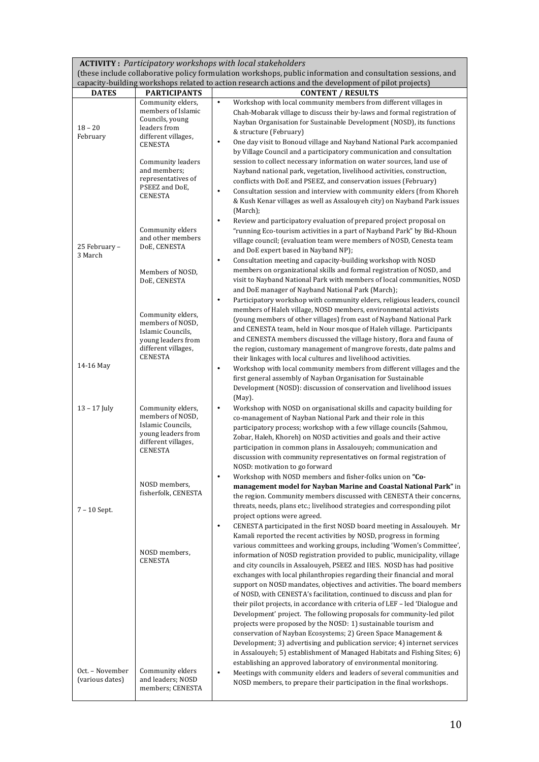**ACTIVITY :** *Participatory workshops with local stakeholders*

(these include collaborative policy formulation workshops, public information and consultation sessions, and capacity-building workshops related to action research actions and the development of pilot projects)

| Community elders,<br>$\bullet$<br>Workshop with local community members from different villages in<br>members of Islamic<br>Chah-Mobarak village to discuss their by-laws and formal registration of<br>Councils, young<br>Nayban Organisation for Sustainable Development (NOSD), its functions<br>$18 - 20$<br>leaders from<br>& structure (February)<br>February<br>different villages,<br>One day visit to Bonoud village and Nayband National Park accompanied<br>$\bullet$<br>CENESTA<br>by Village Council and a participatory communication and consultation<br>session to collect necessary information on water sources, land use of<br>Community leaders<br>and members;<br>Nayband national park, vegetation, livelihood activities, construction,<br>representatives of<br>conflicts with DoE and PSEEZ, and conservation issues (February)<br>PSEEZ and DoE,<br>$\bullet$<br>Consultation session and interview with community elders (from Khoreh<br><b>CENESTA</b><br>& Kush Kenar villages as well as Assalouyeh city) on Nayband Park issues<br>(March);<br>Review and participatory evaluation of prepared project proposal on<br>٠<br>Community elders<br>"running Eco-tourism activities in a part of Nayband Park" by Bid-Khoun<br>and other members<br>village council; (evaluation team were members of NOSD, Cenesta team<br>25 February -<br>DoE, CENESTA<br>and DoE expert based in Nayband NP);<br>3 March<br>Consultation meeting and capacity-building workshop with NOSD<br>$\bullet$<br>members on organizational skills and formal registration of NOSD, and<br>Members of NOSD,<br>visit to Nayband National Park with members of local communities, NOSD<br>DoE, CENESTA<br>and DoE manager of Nayband National Park (March);<br>$\bullet$<br>Participatory workshop with community elders, religious leaders, council<br>members of Haleh village, NOSD members, environmental activists<br>Community elders,<br>(young members of other villages) from east of Nayband National Park<br>members of NOSD,<br>and CENESTA team, held in Nour mosque of Haleh village. Participants<br>Islamic Councils,<br>and CENESTA members discussed the village history, flora and fauna of<br>young leaders from<br>different villages,<br>the region, customary management of mangrove forests, date palms and<br>CENESTA<br>their linkages with local cultures and livelihood activities.<br>14-16 May<br>Workshop with local community members from different villages and the<br>٠<br>first general assembly of Nayban Organisation for Sustainable<br>Development (NOSD): discussion of conservation and livelihood issues<br>$(May)$ .<br>$13 - 17$ July<br>Community elders,<br>Workshop with NOSD on organisational skills and capacity building for<br>$\bullet$<br>members of NOSD,<br>co-management of Nayban National Park and their role in this<br>Islamic Councils,<br>participatory process; workshop with a few village councils (Sahmou,<br>young leaders from<br>Zobar, Haleh, Khoreh) on NOSD activities and goals and their active<br>different villages,<br>participation in common plans in Assalouyeh; communication and<br><b>CENESTA</b><br>discussion with community representatives on formal registration of<br>NOSD: motivation to go forward<br>Workshop with NOSD members and fisher-folks union on "Co-<br>٠<br>NOSD members,<br>management model for Nayban Marine and Coastal National Park" in<br>fisherfolk, CENESTA<br>the region. Community members discussed with CENESTA their concerns,<br>threats, needs, plans etc.; livelihood strategies and corresponding pilot<br>$7 - 10$ Sept.<br>project options were agreed.<br>CENESTA participated in the first NOSD board meeting in Assalouyeh. Mr<br>$\bullet$<br>Kamali reported the recent activities by NOSD, progress in forming<br>various committees and working groups, including 'Women's Committee',<br>NOSD members.<br>information of NOSD registration provided to public, municipality, village<br><b>CENESTA</b><br>and city councils in Assalouyeh, PSEEZ and IIES. NOSD has had positive<br>exchanges with local philanthropies regarding their financial and moral<br>support on NOSD mandates, objectives and activities. The board members<br>of NOSD, with CENESTA's facilitation, continued to discuss and plan for<br>their pilot projects, in accordance with criteria of LEF - led 'Dialogue and<br>Development' project. The following proposals for community-led pilot<br>projects were proposed by the NOSD: 1) sustainable tourism and<br>conservation of Nayban Ecosystems; 2) Green Space Management &<br>Development; 3) advertising and publication service; 4) internet services<br>in Assalouyeh; 5) establishment of Managed Habitats and Fishing Sites; 6)<br>establishing an approved laboratory of environmental monitoring.<br>Oct. - November<br>Community elders<br>Meetings with community elders and leaders of several communities and<br>$\bullet$<br>and leaders; NOSD<br>(various dates)<br>NOSD members, to prepare their participation in the final workshops. | $\alpha$<br><b>DATES</b> | <b>PARTICIPANTS</b> | norhonopo relatea to aetion researen aetions and the development or phot projects<br><b>CONTENT / RESULTS</b> |  |  |  |
|------------------------------------------------------------------------------------------------------------------------------------------------------------------------------------------------------------------------------------------------------------------------------------------------------------------------------------------------------------------------------------------------------------------------------------------------------------------------------------------------------------------------------------------------------------------------------------------------------------------------------------------------------------------------------------------------------------------------------------------------------------------------------------------------------------------------------------------------------------------------------------------------------------------------------------------------------------------------------------------------------------------------------------------------------------------------------------------------------------------------------------------------------------------------------------------------------------------------------------------------------------------------------------------------------------------------------------------------------------------------------------------------------------------------------------------------------------------------------------------------------------------------------------------------------------------------------------------------------------------------------------------------------------------------------------------------------------------------------------------------------------------------------------------------------------------------------------------------------------------------------------------------------------------------------------------------------------------------------------------------------------------------------------------------------------------------------------------------------------------------------------------------------------------------------------------------------------------------------------------------------------------------------------------------------------------------------------------------------------------------------------------------------------------------------------------------------------------------------------------------------------------------------------------------------------------------------------------------------------------------------------------------------------------------------------------------------------------------------------------------------------------------------------------------------------------------------------------------------------------------------------------------------------------------------------------------------------------------------------------------------------------------------------------------------------------------------------------------------------------------------------------------------------------------------------------------------------------------------------------------------------------------------------------------------------------------------------------------------------------------------------------------------------------------------------------------------------------------------------------------------------------------------------------------------------------------------------------------------------------------------------------------------------------------------------------------------------------------------------------------------------------------------------------------------------------------------------------------------------------------------------------------------------------------------------------------------------------------------------------------------------------------------------------------------------------------------------------------------------------------------------------------------------------------------------------------------------------------------------------------------------------------------------------------------------------------------------------------------------------------------------------------------------------------------------------------------------------------------------------------------------------------------------------------------------------------------------------------------------------------------------------------------------------------------------------------------------------------------------------------------------------------------------------------------------------------------------------------------------------------------------------------------------------------------------------------------------------------------------------------------------------------------------------------------------------------------------------------------------------------------------|--------------------------|---------------------|---------------------------------------------------------------------------------------------------------------|--|--|--|
|                                                                                                                                                                                                                                                                                                                                                                                                                                                                                                                                                                                                                                                                                                                                                                                                                                                                                                                                                                                                                                                                                                                                                                                                                                                                                                                                                                                                                                                                                                                                                                                                                                                                                                                                                                                                                                                                                                                                                                                                                                                                                                                                                                                                                                                                                                                                                                                                                                                                                                                                                                                                                                                                                                                                                                                                                                                                                                                                                                                                                                                                                                                                                                                                                                                                                                                                                                                                                                                                                                                                                                                                                                                                                                                                                                                                                                                                                                                                                                                                                                                                                                                                                                                                                                                                                                                                                                                                                                                                                                                                                                                                                                                                                                                                                                                                                                                                                                                                                                                                                                                                                                                                    |                          |                     |                                                                                                               |  |  |  |
|                                                                                                                                                                                                                                                                                                                                                                                                                                                                                                                                                                                                                                                                                                                                                                                                                                                                                                                                                                                                                                                                                                                                                                                                                                                                                                                                                                                                                                                                                                                                                                                                                                                                                                                                                                                                                                                                                                                                                                                                                                                                                                                                                                                                                                                                                                                                                                                                                                                                                                                                                                                                                                                                                                                                                                                                                                                                                                                                                                                                                                                                                                                                                                                                                                                                                                                                                                                                                                                                                                                                                                                                                                                                                                                                                                                                                                                                                                                                                                                                                                                                                                                                                                                                                                                                                                                                                                                                                                                                                                                                                                                                                                                                                                                                                                                                                                                                                                                                                                                                                                                                                                                                    |                          |                     |                                                                                                               |  |  |  |
|                                                                                                                                                                                                                                                                                                                                                                                                                                                                                                                                                                                                                                                                                                                                                                                                                                                                                                                                                                                                                                                                                                                                                                                                                                                                                                                                                                                                                                                                                                                                                                                                                                                                                                                                                                                                                                                                                                                                                                                                                                                                                                                                                                                                                                                                                                                                                                                                                                                                                                                                                                                                                                                                                                                                                                                                                                                                                                                                                                                                                                                                                                                                                                                                                                                                                                                                                                                                                                                                                                                                                                                                                                                                                                                                                                                                                                                                                                                                                                                                                                                                                                                                                                                                                                                                                                                                                                                                                                                                                                                                                                                                                                                                                                                                                                                                                                                                                                                                                                                                                                                                                                                                    |                          |                     |                                                                                                               |  |  |  |
|                                                                                                                                                                                                                                                                                                                                                                                                                                                                                                                                                                                                                                                                                                                                                                                                                                                                                                                                                                                                                                                                                                                                                                                                                                                                                                                                                                                                                                                                                                                                                                                                                                                                                                                                                                                                                                                                                                                                                                                                                                                                                                                                                                                                                                                                                                                                                                                                                                                                                                                                                                                                                                                                                                                                                                                                                                                                                                                                                                                                                                                                                                                                                                                                                                                                                                                                                                                                                                                                                                                                                                                                                                                                                                                                                                                                                                                                                                                                                                                                                                                                                                                                                                                                                                                                                                                                                                                                                                                                                                                                                                                                                                                                                                                                                                                                                                                                                                                                                                                                                                                                                                                                    |                          |                     |                                                                                                               |  |  |  |
|                                                                                                                                                                                                                                                                                                                                                                                                                                                                                                                                                                                                                                                                                                                                                                                                                                                                                                                                                                                                                                                                                                                                                                                                                                                                                                                                                                                                                                                                                                                                                                                                                                                                                                                                                                                                                                                                                                                                                                                                                                                                                                                                                                                                                                                                                                                                                                                                                                                                                                                                                                                                                                                                                                                                                                                                                                                                                                                                                                                                                                                                                                                                                                                                                                                                                                                                                                                                                                                                                                                                                                                                                                                                                                                                                                                                                                                                                                                                                                                                                                                                                                                                                                                                                                                                                                                                                                                                                                                                                                                                                                                                                                                                                                                                                                                                                                                                                                                                                                                                                                                                                                                                    |                          |                     |                                                                                                               |  |  |  |
|                                                                                                                                                                                                                                                                                                                                                                                                                                                                                                                                                                                                                                                                                                                                                                                                                                                                                                                                                                                                                                                                                                                                                                                                                                                                                                                                                                                                                                                                                                                                                                                                                                                                                                                                                                                                                                                                                                                                                                                                                                                                                                                                                                                                                                                                                                                                                                                                                                                                                                                                                                                                                                                                                                                                                                                                                                                                                                                                                                                                                                                                                                                                                                                                                                                                                                                                                                                                                                                                                                                                                                                                                                                                                                                                                                                                                                                                                                                                                                                                                                                                                                                                                                                                                                                                                                                                                                                                                                                                                                                                                                                                                                                                                                                                                                                                                                                                                                                                                                                                                                                                                                                                    |                          |                     |                                                                                                               |  |  |  |
|                                                                                                                                                                                                                                                                                                                                                                                                                                                                                                                                                                                                                                                                                                                                                                                                                                                                                                                                                                                                                                                                                                                                                                                                                                                                                                                                                                                                                                                                                                                                                                                                                                                                                                                                                                                                                                                                                                                                                                                                                                                                                                                                                                                                                                                                                                                                                                                                                                                                                                                                                                                                                                                                                                                                                                                                                                                                                                                                                                                                                                                                                                                                                                                                                                                                                                                                                                                                                                                                                                                                                                                                                                                                                                                                                                                                                                                                                                                                                                                                                                                                                                                                                                                                                                                                                                                                                                                                                                                                                                                                                                                                                                                                                                                                                                                                                                                                                                                                                                                                                                                                                                                                    |                          |                     |                                                                                                               |  |  |  |
|                                                                                                                                                                                                                                                                                                                                                                                                                                                                                                                                                                                                                                                                                                                                                                                                                                                                                                                                                                                                                                                                                                                                                                                                                                                                                                                                                                                                                                                                                                                                                                                                                                                                                                                                                                                                                                                                                                                                                                                                                                                                                                                                                                                                                                                                                                                                                                                                                                                                                                                                                                                                                                                                                                                                                                                                                                                                                                                                                                                                                                                                                                                                                                                                                                                                                                                                                                                                                                                                                                                                                                                                                                                                                                                                                                                                                                                                                                                                                                                                                                                                                                                                                                                                                                                                                                                                                                                                                                                                                                                                                                                                                                                                                                                                                                                                                                                                                                                                                                                                                                                                                                                                    |                          |                     |                                                                                                               |  |  |  |
|                                                                                                                                                                                                                                                                                                                                                                                                                                                                                                                                                                                                                                                                                                                                                                                                                                                                                                                                                                                                                                                                                                                                                                                                                                                                                                                                                                                                                                                                                                                                                                                                                                                                                                                                                                                                                                                                                                                                                                                                                                                                                                                                                                                                                                                                                                                                                                                                                                                                                                                                                                                                                                                                                                                                                                                                                                                                                                                                                                                                                                                                                                                                                                                                                                                                                                                                                                                                                                                                                                                                                                                                                                                                                                                                                                                                                                                                                                                                                                                                                                                                                                                                                                                                                                                                                                                                                                                                                                                                                                                                                                                                                                                                                                                                                                                                                                                                                                                                                                                                                                                                                                                                    |                          |                     |                                                                                                               |  |  |  |
|                                                                                                                                                                                                                                                                                                                                                                                                                                                                                                                                                                                                                                                                                                                                                                                                                                                                                                                                                                                                                                                                                                                                                                                                                                                                                                                                                                                                                                                                                                                                                                                                                                                                                                                                                                                                                                                                                                                                                                                                                                                                                                                                                                                                                                                                                                                                                                                                                                                                                                                                                                                                                                                                                                                                                                                                                                                                                                                                                                                                                                                                                                                                                                                                                                                                                                                                                                                                                                                                                                                                                                                                                                                                                                                                                                                                                                                                                                                                                                                                                                                                                                                                                                                                                                                                                                                                                                                                                                                                                                                                                                                                                                                                                                                                                                                                                                                                                                                                                                                                                                                                                                                                    |                          |                     |                                                                                                               |  |  |  |
|                                                                                                                                                                                                                                                                                                                                                                                                                                                                                                                                                                                                                                                                                                                                                                                                                                                                                                                                                                                                                                                                                                                                                                                                                                                                                                                                                                                                                                                                                                                                                                                                                                                                                                                                                                                                                                                                                                                                                                                                                                                                                                                                                                                                                                                                                                                                                                                                                                                                                                                                                                                                                                                                                                                                                                                                                                                                                                                                                                                                                                                                                                                                                                                                                                                                                                                                                                                                                                                                                                                                                                                                                                                                                                                                                                                                                                                                                                                                                                                                                                                                                                                                                                                                                                                                                                                                                                                                                                                                                                                                                                                                                                                                                                                                                                                                                                                                                                                                                                                                                                                                                                                                    |                          |                     |                                                                                                               |  |  |  |
|                                                                                                                                                                                                                                                                                                                                                                                                                                                                                                                                                                                                                                                                                                                                                                                                                                                                                                                                                                                                                                                                                                                                                                                                                                                                                                                                                                                                                                                                                                                                                                                                                                                                                                                                                                                                                                                                                                                                                                                                                                                                                                                                                                                                                                                                                                                                                                                                                                                                                                                                                                                                                                                                                                                                                                                                                                                                                                                                                                                                                                                                                                                                                                                                                                                                                                                                                                                                                                                                                                                                                                                                                                                                                                                                                                                                                                                                                                                                                                                                                                                                                                                                                                                                                                                                                                                                                                                                                                                                                                                                                                                                                                                                                                                                                                                                                                                                                                                                                                                                                                                                                                                                    |                          |                     |                                                                                                               |  |  |  |
|                                                                                                                                                                                                                                                                                                                                                                                                                                                                                                                                                                                                                                                                                                                                                                                                                                                                                                                                                                                                                                                                                                                                                                                                                                                                                                                                                                                                                                                                                                                                                                                                                                                                                                                                                                                                                                                                                                                                                                                                                                                                                                                                                                                                                                                                                                                                                                                                                                                                                                                                                                                                                                                                                                                                                                                                                                                                                                                                                                                                                                                                                                                                                                                                                                                                                                                                                                                                                                                                                                                                                                                                                                                                                                                                                                                                                                                                                                                                                                                                                                                                                                                                                                                                                                                                                                                                                                                                                                                                                                                                                                                                                                                                                                                                                                                                                                                                                                                                                                                                                                                                                                                                    |                          |                     |                                                                                                               |  |  |  |
|                                                                                                                                                                                                                                                                                                                                                                                                                                                                                                                                                                                                                                                                                                                                                                                                                                                                                                                                                                                                                                                                                                                                                                                                                                                                                                                                                                                                                                                                                                                                                                                                                                                                                                                                                                                                                                                                                                                                                                                                                                                                                                                                                                                                                                                                                                                                                                                                                                                                                                                                                                                                                                                                                                                                                                                                                                                                                                                                                                                                                                                                                                                                                                                                                                                                                                                                                                                                                                                                                                                                                                                                                                                                                                                                                                                                                                                                                                                                                                                                                                                                                                                                                                                                                                                                                                                                                                                                                                                                                                                                                                                                                                                                                                                                                                                                                                                                                                                                                                                                                                                                                                                                    |                          |                     |                                                                                                               |  |  |  |
|                                                                                                                                                                                                                                                                                                                                                                                                                                                                                                                                                                                                                                                                                                                                                                                                                                                                                                                                                                                                                                                                                                                                                                                                                                                                                                                                                                                                                                                                                                                                                                                                                                                                                                                                                                                                                                                                                                                                                                                                                                                                                                                                                                                                                                                                                                                                                                                                                                                                                                                                                                                                                                                                                                                                                                                                                                                                                                                                                                                                                                                                                                                                                                                                                                                                                                                                                                                                                                                                                                                                                                                                                                                                                                                                                                                                                                                                                                                                                                                                                                                                                                                                                                                                                                                                                                                                                                                                                                                                                                                                                                                                                                                                                                                                                                                                                                                                                                                                                                                                                                                                                                                                    |                          |                     |                                                                                                               |  |  |  |
|                                                                                                                                                                                                                                                                                                                                                                                                                                                                                                                                                                                                                                                                                                                                                                                                                                                                                                                                                                                                                                                                                                                                                                                                                                                                                                                                                                                                                                                                                                                                                                                                                                                                                                                                                                                                                                                                                                                                                                                                                                                                                                                                                                                                                                                                                                                                                                                                                                                                                                                                                                                                                                                                                                                                                                                                                                                                                                                                                                                                                                                                                                                                                                                                                                                                                                                                                                                                                                                                                                                                                                                                                                                                                                                                                                                                                                                                                                                                                                                                                                                                                                                                                                                                                                                                                                                                                                                                                                                                                                                                                                                                                                                                                                                                                                                                                                                                                                                                                                                                                                                                                                                                    |                          |                     |                                                                                                               |  |  |  |
|                                                                                                                                                                                                                                                                                                                                                                                                                                                                                                                                                                                                                                                                                                                                                                                                                                                                                                                                                                                                                                                                                                                                                                                                                                                                                                                                                                                                                                                                                                                                                                                                                                                                                                                                                                                                                                                                                                                                                                                                                                                                                                                                                                                                                                                                                                                                                                                                                                                                                                                                                                                                                                                                                                                                                                                                                                                                                                                                                                                                                                                                                                                                                                                                                                                                                                                                                                                                                                                                                                                                                                                                                                                                                                                                                                                                                                                                                                                                                                                                                                                                                                                                                                                                                                                                                                                                                                                                                                                                                                                                                                                                                                                                                                                                                                                                                                                                                                                                                                                                                                                                                                                                    |                          |                     |                                                                                                               |  |  |  |
|                                                                                                                                                                                                                                                                                                                                                                                                                                                                                                                                                                                                                                                                                                                                                                                                                                                                                                                                                                                                                                                                                                                                                                                                                                                                                                                                                                                                                                                                                                                                                                                                                                                                                                                                                                                                                                                                                                                                                                                                                                                                                                                                                                                                                                                                                                                                                                                                                                                                                                                                                                                                                                                                                                                                                                                                                                                                                                                                                                                                                                                                                                                                                                                                                                                                                                                                                                                                                                                                                                                                                                                                                                                                                                                                                                                                                                                                                                                                                                                                                                                                                                                                                                                                                                                                                                                                                                                                                                                                                                                                                                                                                                                                                                                                                                                                                                                                                                                                                                                                                                                                                                                                    |                          |                     |                                                                                                               |  |  |  |
|                                                                                                                                                                                                                                                                                                                                                                                                                                                                                                                                                                                                                                                                                                                                                                                                                                                                                                                                                                                                                                                                                                                                                                                                                                                                                                                                                                                                                                                                                                                                                                                                                                                                                                                                                                                                                                                                                                                                                                                                                                                                                                                                                                                                                                                                                                                                                                                                                                                                                                                                                                                                                                                                                                                                                                                                                                                                                                                                                                                                                                                                                                                                                                                                                                                                                                                                                                                                                                                                                                                                                                                                                                                                                                                                                                                                                                                                                                                                                                                                                                                                                                                                                                                                                                                                                                                                                                                                                                                                                                                                                                                                                                                                                                                                                                                                                                                                                                                                                                                                                                                                                                                                    |                          |                     |                                                                                                               |  |  |  |
|                                                                                                                                                                                                                                                                                                                                                                                                                                                                                                                                                                                                                                                                                                                                                                                                                                                                                                                                                                                                                                                                                                                                                                                                                                                                                                                                                                                                                                                                                                                                                                                                                                                                                                                                                                                                                                                                                                                                                                                                                                                                                                                                                                                                                                                                                                                                                                                                                                                                                                                                                                                                                                                                                                                                                                                                                                                                                                                                                                                                                                                                                                                                                                                                                                                                                                                                                                                                                                                                                                                                                                                                                                                                                                                                                                                                                                                                                                                                                                                                                                                                                                                                                                                                                                                                                                                                                                                                                                                                                                                                                                                                                                                                                                                                                                                                                                                                                                                                                                                                                                                                                                                                    |                          |                     |                                                                                                               |  |  |  |
|                                                                                                                                                                                                                                                                                                                                                                                                                                                                                                                                                                                                                                                                                                                                                                                                                                                                                                                                                                                                                                                                                                                                                                                                                                                                                                                                                                                                                                                                                                                                                                                                                                                                                                                                                                                                                                                                                                                                                                                                                                                                                                                                                                                                                                                                                                                                                                                                                                                                                                                                                                                                                                                                                                                                                                                                                                                                                                                                                                                                                                                                                                                                                                                                                                                                                                                                                                                                                                                                                                                                                                                                                                                                                                                                                                                                                                                                                                                                                                                                                                                                                                                                                                                                                                                                                                                                                                                                                                                                                                                                                                                                                                                                                                                                                                                                                                                                                                                                                                                                                                                                                                                                    |                          |                     |                                                                                                               |  |  |  |
|                                                                                                                                                                                                                                                                                                                                                                                                                                                                                                                                                                                                                                                                                                                                                                                                                                                                                                                                                                                                                                                                                                                                                                                                                                                                                                                                                                                                                                                                                                                                                                                                                                                                                                                                                                                                                                                                                                                                                                                                                                                                                                                                                                                                                                                                                                                                                                                                                                                                                                                                                                                                                                                                                                                                                                                                                                                                                                                                                                                                                                                                                                                                                                                                                                                                                                                                                                                                                                                                                                                                                                                                                                                                                                                                                                                                                                                                                                                                                                                                                                                                                                                                                                                                                                                                                                                                                                                                                                                                                                                                                                                                                                                                                                                                                                                                                                                                                                                                                                                                                                                                                                                                    |                          |                     |                                                                                                               |  |  |  |
|                                                                                                                                                                                                                                                                                                                                                                                                                                                                                                                                                                                                                                                                                                                                                                                                                                                                                                                                                                                                                                                                                                                                                                                                                                                                                                                                                                                                                                                                                                                                                                                                                                                                                                                                                                                                                                                                                                                                                                                                                                                                                                                                                                                                                                                                                                                                                                                                                                                                                                                                                                                                                                                                                                                                                                                                                                                                                                                                                                                                                                                                                                                                                                                                                                                                                                                                                                                                                                                                                                                                                                                                                                                                                                                                                                                                                                                                                                                                                                                                                                                                                                                                                                                                                                                                                                                                                                                                                                                                                                                                                                                                                                                                                                                                                                                                                                                                                                                                                                                                                                                                                                                                    |                          |                     |                                                                                                               |  |  |  |
|                                                                                                                                                                                                                                                                                                                                                                                                                                                                                                                                                                                                                                                                                                                                                                                                                                                                                                                                                                                                                                                                                                                                                                                                                                                                                                                                                                                                                                                                                                                                                                                                                                                                                                                                                                                                                                                                                                                                                                                                                                                                                                                                                                                                                                                                                                                                                                                                                                                                                                                                                                                                                                                                                                                                                                                                                                                                                                                                                                                                                                                                                                                                                                                                                                                                                                                                                                                                                                                                                                                                                                                                                                                                                                                                                                                                                                                                                                                                                                                                                                                                                                                                                                                                                                                                                                                                                                                                                                                                                                                                                                                                                                                                                                                                                                                                                                                                                                                                                                                                                                                                                                                                    |                          |                     |                                                                                                               |  |  |  |
|                                                                                                                                                                                                                                                                                                                                                                                                                                                                                                                                                                                                                                                                                                                                                                                                                                                                                                                                                                                                                                                                                                                                                                                                                                                                                                                                                                                                                                                                                                                                                                                                                                                                                                                                                                                                                                                                                                                                                                                                                                                                                                                                                                                                                                                                                                                                                                                                                                                                                                                                                                                                                                                                                                                                                                                                                                                                                                                                                                                                                                                                                                                                                                                                                                                                                                                                                                                                                                                                                                                                                                                                                                                                                                                                                                                                                                                                                                                                                                                                                                                                                                                                                                                                                                                                                                                                                                                                                                                                                                                                                                                                                                                                                                                                                                                                                                                                                                                                                                                                                                                                                                                                    |                          |                     |                                                                                                               |  |  |  |
|                                                                                                                                                                                                                                                                                                                                                                                                                                                                                                                                                                                                                                                                                                                                                                                                                                                                                                                                                                                                                                                                                                                                                                                                                                                                                                                                                                                                                                                                                                                                                                                                                                                                                                                                                                                                                                                                                                                                                                                                                                                                                                                                                                                                                                                                                                                                                                                                                                                                                                                                                                                                                                                                                                                                                                                                                                                                                                                                                                                                                                                                                                                                                                                                                                                                                                                                                                                                                                                                                                                                                                                                                                                                                                                                                                                                                                                                                                                                                                                                                                                                                                                                                                                                                                                                                                                                                                                                                                                                                                                                                                                                                                                                                                                                                                                                                                                                                                                                                                                                                                                                                                                                    |                          |                     |                                                                                                               |  |  |  |
|                                                                                                                                                                                                                                                                                                                                                                                                                                                                                                                                                                                                                                                                                                                                                                                                                                                                                                                                                                                                                                                                                                                                                                                                                                                                                                                                                                                                                                                                                                                                                                                                                                                                                                                                                                                                                                                                                                                                                                                                                                                                                                                                                                                                                                                                                                                                                                                                                                                                                                                                                                                                                                                                                                                                                                                                                                                                                                                                                                                                                                                                                                                                                                                                                                                                                                                                                                                                                                                                                                                                                                                                                                                                                                                                                                                                                                                                                                                                                                                                                                                                                                                                                                                                                                                                                                                                                                                                                                                                                                                                                                                                                                                                                                                                                                                                                                                                                                                                                                                                                                                                                                                                    |                          |                     |                                                                                                               |  |  |  |
|                                                                                                                                                                                                                                                                                                                                                                                                                                                                                                                                                                                                                                                                                                                                                                                                                                                                                                                                                                                                                                                                                                                                                                                                                                                                                                                                                                                                                                                                                                                                                                                                                                                                                                                                                                                                                                                                                                                                                                                                                                                                                                                                                                                                                                                                                                                                                                                                                                                                                                                                                                                                                                                                                                                                                                                                                                                                                                                                                                                                                                                                                                                                                                                                                                                                                                                                                                                                                                                                                                                                                                                                                                                                                                                                                                                                                                                                                                                                                                                                                                                                                                                                                                                                                                                                                                                                                                                                                                                                                                                                                                                                                                                                                                                                                                                                                                                                                                                                                                                                                                                                                                                                    |                          |                     |                                                                                                               |  |  |  |
|                                                                                                                                                                                                                                                                                                                                                                                                                                                                                                                                                                                                                                                                                                                                                                                                                                                                                                                                                                                                                                                                                                                                                                                                                                                                                                                                                                                                                                                                                                                                                                                                                                                                                                                                                                                                                                                                                                                                                                                                                                                                                                                                                                                                                                                                                                                                                                                                                                                                                                                                                                                                                                                                                                                                                                                                                                                                                                                                                                                                                                                                                                                                                                                                                                                                                                                                                                                                                                                                                                                                                                                                                                                                                                                                                                                                                                                                                                                                                                                                                                                                                                                                                                                                                                                                                                                                                                                                                                                                                                                                                                                                                                                                                                                                                                                                                                                                                                                                                                                                                                                                                                                                    |                          |                     |                                                                                                               |  |  |  |
|                                                                                                                                                                                                                                                                                                                                                                                                                                                                                                                                                                                                                                                                                                                                                                                                                                                                                                                                                                                                                                                                                                                                                                                                                                                                                                                                                                                                                                                                                                                                                                                                                                                                                                                                                                                                                                                                                                                                                                                                                                                                                                                                                                                                                                                                                                                                                                                                                                                                                                                                                                                                                                                                                                                                                                                                                                                                                                                                                                                                                                                                                                                                                                                                                                                                                                                                                                                                                                                                                                                                                                                                                                                                                                                                                                                                                                                                                                                                                                                                                                                                                                                                                                                                                                                                                                                                                                                                                                                                                                                                                                                                                                                                                                                                                                                                                                                                                                                                                                                                                                                                                                                                    |                          |                     |                                                                                                               |  |  |  |
|                                                                                                                                                                                                                                                                                                                                                                                                                                                                                                                                                                                                                                                                                                                                                                                                                                                                                                                                                                                                                                                                                                                                                                                                                                                                                                                                                                                                                                                                                                                                                                                                                                                                                                                                                                                                                                                                                                                                                                                                                                                                                                                                                                                                                                                                                                                                                                                                                                                                                                                                                                                                                                                                                                                                                                                                                                                                                                                                                                                                                                                                                                                                                                                                                                                                                                                                                                                                                                                                                                                                                                                                                                                                                                                                                                                                                                                                                                                                                                                                                                                                                                                                                                                                                                                                                                                                                                                                                                                                                                                                                                                                                                                                                                                                                                                                                                                                                                                                                                                                                                                                                                                                    |                          |                     |                                                                                                               |  |  |  |
|                                                                                                                                                                                                                                                                                                                                                                                                                                                                                                                                                                                                                                                                                                                                                                                                                                                                                                                                                                                                                                                                                                                                                                                                                                                                                                                                                                                                                                                                                                                                                                                                                                                                                                                                                                                                                                                                                                                                                                                                                                                                                                                                                                                                                                                                                                                                                                                                                                                                                                                                                                                                                                                                                                                                                                                                                                                                                                                                                                                                                                                                                                                                                                                                                                                                                                                                                                                                                                                                                                                                                                                                                                                                                                                                                                                                                                                                                                                                                                                                                                                                                                                                                                                                                                                                                                                                                                                                                                                                                                                                                                                                                                                                                                                                                                                                                                                                                                                                                                                                                                                                                                                                    |                          |                     |                                                                                                               |  |  |  |
|                                                                                                                                                                                                                                                                                                                                                                                                                                                                                                                                                                                                                                                                                                                                                                                                                                                                                                                                                                                                                                                                                                                                                                                                                                                                                                                                                                                                                                                                                                                                                                                                                                                                                                                                                                                                                                                                                                                                                                                                                                                                                                                                                                                                                                                                                                                                                                                                                                                                                                                                                                                                                                                                                                                                                                                                                                                                                                                                                                                                                                                                                                                                                                                                                                                                                                                                                                                                                                                                                                                                                                                                                                                                                                                                                                                                                                                                                                                                                                                                                                                                                                                                                                                                                                                                                                                                                                                                                                                                                                                                                                                                                                                                                                                                                                                                                                                                                                                                                                                                                                                                                                                                    |                          |                     |                                                                                                               |  |  |  |
|                                                                                                                                                                                                                                                                                                                                                                                                                                                                                                                                                                                                                                                                                                                                                                                                                                                                                                                                                                                                                                                                                                                                                                                                                                                                                                                                                                                                                                                                                                                                                                                                                                                                                                                                                                                                                                                                                                                                                                                                                                                                                                                                                                                                                                                                                                                                                                                                                                                                                                                                                                                                                                                                                                                                                                                                                                                                                                                                                                                                                                                                                                                                                                                                                                                                                                                                                                                                                                                                                                                                                                                                                                                                                                                                                                                                                                                                                                                                                                                                                                                                                                                                                                                                                                                                                                                                                                                                                                                                                                                                                                                                                                                                                                                                                                                                                                                                                                                                                                                                                                                                                                                                    |                          |                     |                                                                                                               |  |  |  |
|                                                                                                                                                                                                                                                                                                                                                                                                                                                                                                                                                                                                                                                                                                                                                                                                                                                                                                                                                                                                                                                                                                                                                                                                                                                                                                                                                                                                                                                                                                                                                                                                                                                                                                                                                                                                                                                                                                                                                                                                                                                                                                                                                                                                                                                                                                                                                                                                                                                                                                                                                                                                                                                                                                                                                                                                                                                                                                                                                                                                                                                                                                                                                                                                                                                                                                                                                                                                                                                                                                                                                                                                                                                                                                                                                                                                                                                                                                                                                                                                                                                                                                                                                                                                                                                                                                                                                                                                                                                                                                                                                                                                                                                                                                                                                                                                                                                                                                                                                                                                                                                                                                                                    |                          |                     |                                                                                                               |  |  |  |
|                                                                                                                                                                                                                                                                                                                                                                                                                                                                                                                                                                                                                                                                                                                                                                                                                                                                                                                                                                                                                                                                                                                                                                                                                                                                                                                                                                                                                                                                                                                                                                                                                                                                                                                                                                                                                                                                                                                                                                                                                                                                                                                                                                                                                                                                                                                                                                                                                                                                                                                                                                                                                                                                                                                                                                                                                                                                                                                                                                                                                                                                                                                                                                                                                                                                                                                                                                                                                                                                                                                                                                                                                                                                                                                                                                                                                                                                                                                                                                                                                                                                                                                                                                                                                                                                                                                                                                                                                                                                                                                                                                                                                                                                                                                                                                                                                                                                                                                                                                                                                                                                                                                                    |                          |                     |                                                                                                               |  |  |  |
|                                                                                                                                                                                                                                                                                                                                                                                                                                                                                                                                                                                                                                                                                                                                                                                                                                                                                                                                                                                                                                                                                                                                                                                                                                                                                                                                                                                                                                                                                                                                                                                                                                                                                                                                                                                                                                                                                                                                                                                                                                                                                                                                                                                                                                                                                                                                                                                                                                                                                                                                                                                                                                                                                                                                                                                                                                                                                                                                                                                                                                                                                                                                                                                                                                                                                                                                                                                                                                                                                                                                                                                                                                                                                                                                                                                                                                                                                                                                                                                                                                                                                                                                                                                                                                                                                                                                                                                                                                                                                                                                                                                                                                                                                                                                                                                                                                                                                                                                                                                                                                                                                                                                    |                          |                     |                                                                                                               |  |  |  |
|                                                                                                                                                                                                                                                                                                                                                                                                                                                                                                                                                                                                                                                                                                                                                                                                                                                                                                                                                                                                                                                                                                                                                                                                                                                                                                                                                                                                                                                                                                                                                                                                                                                                                                                                                                                                                                                                                                                                                                                                                                                                                                                                                                                                                                                                                                                                                                                                                                                                                                                                                                                                                                                                                                                                                                                                                                                                                                                                                                                                                                                                                                                                                                                                                                                                                                                                                                                                                                                                                                                                                                                                                                                                                                                                                                                                                                                                                                                                                                                                                                                                                                                                                                                                                                                                                                                                                                                                                                                                                                                                                                                                                                                                                                                                                                                                                                                                                                                                                                                                                                                                                                                                    |                          |                     |                                                                                                               |  |  |  |
|                                                                                                                                                                                                                                                                                                                                                                                                                                                                                                                                                                                                                                                                                                                                                                                                                                                                                                                                                                                                                                                                                                                                                                                                                                                                                                                                                                                                                                                                                                                                                                                                                                                                                                                                                                                                                                                                                                                                                                                                                                                                                                                                                                                                                                                                                                                                                                                                                                                                                                                                                                                                                                                                                                                                                                                                                                                                                                                                                                                                                                                                                                                                                                                                                                                                                                                                                                                                                                                                                                                                                                                                                                                                                                                                                                                                                                                                                                                                                                                                                                                                                                                                                                                                                                                                                                                                                                                                                                                                                                                                                                                                                                                                                                                                                                                                                                                                                                                                                                                                                                                                                                                                    |                          |                     |                                                                                                               |  |  |  |
|                                                                                                                                                                                                                                                                                                                                                                                                                                                                                                                                                                                                                                                                                                                                                                                                                                                                                                                                                                                                                                                                                                                                                                                                                                                                                                                                                                                                                                                                                                                                                                                                                                                                                                                                                                                                                                                                                                                                                                                                                                                                                                                                                                                                                                                                                                                                                                                                                                                                                                                                                                                                                                                                                                                                                                                                                                                                                                                                                                                                                                                                                                                                                                                                                                                                                                                                                                                                                                                                                                                                                                                                                                                                                                                                                                                                                                                                                                                                                                                                                                                                                                                                                                                                                                                                                                                                                                                                                                                                                                                                                                                                                                                                                                                                                                                                                                                                                                                                                                                                                                                                                                                                    |                          |                     |                                                                                                               |  |  |  |
|                                                                                                                                                                                                                                                                                                                                                                                                                                                                                                                                                                                                                                                                                                                                                                                                                                                                                                                                                                                                                                                                                                                                                                                                                                                                                                                                                                                                                                                                                                                                                                                                                                                                                                                                                                                                                                                                                                                                                                                                                                                                                                                                                                                                                                                                                                                                                                                                                                                                                                                                                                                                                                                                                                                                                                                                                                                                                                                                                                                                                                                                                                                                                                                                                                                                                                                                                                                                                                                                                                                                                                                                                                                                                                                                                                                                                                                                                                                                                                                                                                                                                                                                                                                                                                                                                                                                                                                                                                                                                                                                                                                                                                                                                                                                                                                                                                                                                                                                                                                                                                                                                                                                    |                          |                     |                                                                                                               |  |  |  |
|                                                                                                                                                                                                                                                                                                                                                                                                                                                                                                                                                                                                                                                                                                                                                                                                                                                                                                                                                                                                                                                                                                                                                                                                                                                                                                                                                                                                                                                                                                                                                                                                                                                                                                                                                                                                                                                                                                                                                                                                                                                                                                                                                                                                                                                                                                                                                                                                                                                                                                                                                                                                                                                                                                                                                                                                                                                                                                                                                                                                                                                                                                                                                                                                                                                                                                                                                                                                                                                                                                                                                                                                                                                                                                                                                                                                                                                                                                                                                                                                                                                                                                                                                                                                                                                                                                                                                                                                                                                                                                                                                                                                                                                                                                                                                                                                                                                                                                                                                                                                                                                                                                                                    |                          |                     |                                                                                                               |  |  |  |
|                                                                                                                                                                                                                                                                                                                                                                                                                                                                                                                                                                                                                                                                                                                                                                                                                                                                                                                                                                                                                                                                                                                                                                                                                                                                                                                                                                                                                                                                                                                                                                                                                                                                                                                                                                                                                                                                                                                                                                                                                                                                                                                                                                                                                                                                                                                                                                                                                                                                                                                                                                                                                                                                                                                                                                                                                                                                                                                                                                                                                                                                                                                                                                                                                                                                                                                                                                                                                                                                                                                                                                                                                                                                                                                                                                                                                                                                                                                                                                                                                                                                                                                                                                                                                                                                                                                                                                                                                                                                                                                                                                                                                                                                                                                                                                                                                                                                                                                                                                                                                                                                                                                                    |                          |                     |                                                                                                               |  |  |  |
|                                                                                                                                                                                                                                                                                                                                                                                                                                                                                                                                                                                                                                                                                                                                                                                                                                                                                                                                                                                                                                                                                                                                                                                                                                                                                                                                                                                                                                                                                                                                                                                                                                                                                                                                                                                                                                                                                                                                                                                                                                                                                                                                                                                                                                                                                                                                                                                                                                                                                                                                                                                                                                                                                                                                                                                                                                                                                                                                                                                                                                                                                                                                                                                                                                                                                                                                                                                                                                                                                                                                                                                                                                                                                                                                                                                                                                                                                                                                                                                                                                                                                                                                                                                                                                                                                                                                                                                                                                                                                                                                                                                                                                                                                                                                                                                                                                                                                                                                                                                                                                                                                                                                    |                          |                     |                                                                                                               |  |  |  |
|                                                                                                                                                                                                                                                                                                                                                                                                                                                                                                                                                                                                                                                                                                                                                                                                                                                                                                                                                                                                                                                                                                                                                                                                                                                                                                                                                                                                                                                                                                                                                                                                                                                                                                                                                                                                                                                                                                                                                                                                                                                                                                                                                                                                                                                                                                                                                                                                                                                                                                                                                                                                                                                                                                                                                                                                                                                                                                                                                                                                                                                                                                                                                                                                                                                                                                                                                                                                                                                                                                                                                                                                                                                                                                                                                                                                                                                                                                                                                                                                                                                                                                                                                                                                                                                                                                                                                                                                                                                                                                                                                                                                                                                                                                                                                                                                                                                                                                                                                                                                                                                                                                                                    |                          |                     |                                                                                                               |  |  |  |
|                                                                                                                                                                                                                                                                                                                                                                                                                                                                                                                                                                                                                                                                                                                                                                                                                                                                                                                                                                                                                                                                                                                                                                                                                                                                                                                                                                                                                                                                                                                                                                                                                                                                                                                                                                                                                                                                                                                                                                                                                                                                                                                                                                                                                                                                                                                                                                                                                                                                                                                                                                                                                                                                                                                                                                                                                                                                                                                                                                                                                                                                                                                                                                                                                                                                                                                                                                                                                                                                                                                                                                                                                                                                                                                                                                                                                                                                                                                                                                                                                                                                                                                                                                                                                                                                                                                                                                                                                                                                                                                                                                                                                                                                                                                                                                                                                                                                                                                                                                                                                                                                                                                                    |                          |                     |                                                                                                               |  |  |  |
|                                                                                                                                                                                                                                                                                                                                                                                                                                                                                                                                                                                                                                                                                                                                                                                                                                                                                                                                                                                                                                                                                                                                                                                                                                                                                                                                                                                                                                                                                                                                                                                                                                                                                                                                                                                                                                                                                                                                                                                                                                                                                                                                                                                                                                                                                                                                                                                                                                                                                                                                                                                                                                                                                                                                                                                                                                                                                                                                                                                                                                                                                                                                                                                                                                                                                                                                                                                                                                                                                                                                                                                                                                                                                                                                                                                                                                                                                                                                                                                                                                                                                                                                                                                                                                                                                                                                                                                                                                                                                                                                                                                                                                                                                                                                                                                                                                                                                                                                                                                                                                                                                                                                    |                          |                     |                                                                                                               |  |  |  |
|                                                                                                                                                                                                                                                                                                                                                                                                                                                                                                                                                                                                                                                                                                                                                                                                                                                                                                                                                                                                                                                                                                                                                                                                                                                                                                                                                                                                                                                                                                                                                                                                                                                                                                                                                                                                                                                                                                                                                                                                                                                                                                                                                                                                                                                                                                                                                                                                                                                                                                                                                                                                                                                                                                                                                                                                                                                                                                                                                                                                                                                                                                                                                                                                                                                                                                                                                                                                                                                                                                                                                                                                                                                                                                                                                                                                                                                                                                                                                                                                                                                                                                                                                                                                                                                                                                                                                                                                                                                                                                                                                                                                                                                                                                                                                                                                                                                                                                                                                                                                                                                                                                                                    |                          |                     |                                                                                                               |  |  |  |
|                                                                                                                                                                                                                                                                                                                                                                                                                                                                                                                                                                                                                                                                                                                                                                                                                                                                                                                                                                                                                                                                                                                                                                                                                                                                                                                                                                                                                                                                                                                                                                                                                                                                                                                                                                                                                                                                                                                                                                                                                                                                                                                                                                                                                                                                                                                                                                                                                                                                                                                                                                                                                                                                                                                                                                                                                                                                                                                                                                                                                                                                                                                                                                                                                                                                                                                                                                                                                                                                                                                                                                                                                                                                                                                                                                                                                                                                                                                                                                                                                                                                                                                                                                                                                                                                                                                                                                                                                                                                                                                                                                                                                                                                                                                                                                                                                                                                                                                                                                                                                                                                                                                                    |                          |                     |                                                                                                               |  |  |  |
|                                                                                                                                                                                                                                                                                                                                                                                                                                                                                                                                                                                                                                                                                                                                                                                                                                                                                                                                                                                                                                                                                                                                                                                                                                                                                                                                                                                                                                                                                                                                                                                                                                                                                                                                                                                                                                                                                                                                                                                                                                                                                                                                                                                                                                                                                                                                                                                                                                                                                                                                                                                                                                                                                                                                                                                                                                                                                                                                                                                                                                                                                                                                                                                                                                                                                                                                                                                                                                                                                                                                                                                                                                                                                                                                                                                                                                                                                                                                                                                                                                                                                                                                                                                                                                                                                                                                                                                                                                                                                                                                                                                                                                                                                                                                                                                                                                                                                                                                                                                                                                                                                                                                    |                          |                     |                                                                                                               |  |  |  |
|                                                                                                                                                                                                                                                                                                                                                                                                                                                                                                                                                                                                                                                                                                                                                                                                                                                                                                                                                                                                                                                                                                                                                                                                                                                                                                                                                                                                                                                                                                                                                                                                                                                                                                                                                                                                                                                                                                                                                                                                                                                                                                                                                                                                                                                                                                                                                                                                                                                                                                                                                                                                                                                                                                                                                                                                                                                                                                                                                                                                                                                                                                                                                                                                                                                                                                                                                                                                                                                                                                                                                                                                                                                                                                                                                                                                                                                                                                                                                                                                                                                                                                                                                                                                                                                                                                                                                                                                                                                                                                                                                                                                                                                                                                                                                                                                                                                                                                                                                                                                                                                                                                                                    |                          |                     |                                                                                                               |  |  |  |
|                                                                                                                                                                                                                                                                                                                                                                                                                                                                                                                                                                                                                                                                                                                                                                                                                                                                                                                                                                                                                                                                                                                                                                                                                                                                                                                                                                                                                                                                                                                                                                                                                                                                                                                                                                                                                                                                                                                                                                                                                                                                                                                                                                                                                                                                                                                                                                                                                                                                                                                                                                                                                                                                                                                                                                                                                                                                                                                                                                                                                                                                                                                                                                                                                                                                                                                                                                                                                                                                                                                                                                                                                                                                                                                                                                                                                                                                                                                                                                                                                                                                                                                                                                                                                                                                                                                                                                                                                                                                                                                                                                                                                                                                                                                                                                                                                                                                                                                                                                                                                                                                                                                                    |                          |                     |                                                                                                               |  |  |  |
|                                                                                                                                                                                                                                                                                                                                                                                                                                                                                                                                                                                                                                                                                                                                                                                                                                                                                                                                                                                                                                                                                                                                                                                                                                                                                                                                                                                                                                                                                                                                                                                                                                                                                                                                                                                                                                                                                                                                                                                                                                                                                                                                                                                                                                                                                                                                                                                                                                                                                                                                                                                                                                                                                                                                                                                                                                                                                                                                                                                                                                                                                                                                                                                                                                                                                                                                                                                                                                                                                                                                                                                                                                                                                                                                                                                                                                                                                                                                                                                                                                                                                                                                                                                                                                                                                                                                                                                                                                                                                                                                                                                                                                                                                                                                                                                                                                                                                                                                                                                                                                                                                                                                    |                          |                     |                                                                                                               |  |  |  |
|                                                                                                                                                                                                                                                                                                                                                                                                                                                                                                                                                                                                                                                                                                                                                                                                                                                                                                                                                                                                                                                                                                                                                                                                                                                                                                                                                                                                                                                                                                                                                                                                                                                                                                                                                                                                                                                                                                                                                                                                                                                                                                                                                                                                                                                                                                                                                                                                                                                                                                                                                                                                                                                                                                                                                                                                                                                                                                                                                                                                                                                                                                                                                                                                                                                                                                                                                                                                                                                                                                                                                                                                                                                                                                                                                                                                                                                                                                                                                                                                                                                                                                                                                                                                                                                                                                                                                                                                                                                                                                                                                                                                                                                                                                                                                                                                                                                                                                                                                                                                                                                                                                                                    |                          |                     |                                                                                                               |  |  |  |
|                                                                                                                                                                                                                                                                                                                                                                                                                                                                                                                                                                                                                                                                                                                                                                                                                                                                                                                                                                                                                                                                                                                                                                                                                                                                                                                                                                                                                                                                                                                                                                                                                                                                                                                                                                                                                                                                                                                                                                                                                                                                                                                                                                                                                                                                                                                                                                                                                                                                                                                                                                                                                                                                                                                                                                                                                                                                                                                                                                                                                                                                                                                                                                                                                                                                                                                                                                                                                                                                                                                                                                                                                                                                                                                                                                                                                                                                                                                                                                                                                                                                                                                                                                                                                                                                                                                                                                                                                                                                                                                                                                                                                                                                                                                                                                                                                                                                                                                                                                                                                                                                                                                                    |                          |                     |                                                                                                               |  |  |  |
|                                                                                                                                                                                                                                                                                                                                                                                                                                                                                                                                                                                                                                                                                                                                                                                                                                                                                                                                                                                                                                                                                                                                                                                                                                                                                                                                                                                                                                                                                                                                                                                                                                                                                                                                                                                                                                                                                                                                                                                                                                                                                                                                                                                                                                                                                                                                                                                                                                                                                                                                                                                                                                                                                                                                                                                                                                                                                                                                                                                                                                                                                                                                                                                                                                                                                                                                                                                                                                                                                                                                                                                                                                                                                                                                                                                                                                                                                                                                                                                                                                                                                                                                                                                                                                                                                                                                                                                                                                                                                                                                                                                                                                                                                                                                                                                                                                                                                                                                                                                                                                                                                                                                    |                          |                     |                                                                                                               |  |  |  |
|                                                                                                                                                                                                                                                                                                                                                                                                                                                                                                                                                                                                                                                                                                                                                                                                                                                                                                                                                                                                                                                                                                                                                                                                                                                                                                                                                                                                                                                                                                                                                                                                                                                                                                                                                                                                                                                                                                                                                                                                                                                                                                                                                                                                                                                                                                                                                                                                                                                                                                                                                                                                                                                                                                                                                                                                                                                                                                                                                                                                                                                                                                                                                                                                                                                                                                                                                                                                                                                                                                                                                                                                                                                                                                                                                                                                                                                                                                                                                                                                                                                                                                                                                                                                                                                                                                                                                                                                                                                                                                                                                                                                                                                                                                                                                                                                                                                                                                                                                                                                                                                                                                                                    |                          |                     |                                                                                                               |  |  |  |
|                                                                                                                                                                                                                                                                                                                                                                                                                                                                                                                                                                                                                                                                                                                                                                                                                                                                                                                                                                                                                                                                                                                                                                                                                                                                                                                                                                                                                                                                                                                                                                                                                                                                                                                                                                                                                                                                                                                                                                                                                                                                                                                                                                                                                                                                                                                                                                                                                                                                                                                                                                                                                                                                                                                                                                                                                                                                                                                                                                                                                                                                                                                                                                                                                                                                                                                                                                                                                                                                                                                                                                                                                                                                                                                                                                                                                                                                                                                                                                                                                                                                                                                                                                                                                                                                                                                                                                                                                                                                                                                                                                                                                                                                                                                                                                                                                                                                                                                                                                                                                                                                                                                                    |                          |                     |                                                                                                               |  |  |  |
|                                                                                                                                                                                                                                                                                                                                                                                                                                                                                                                                                                                                                                                                                                                                                                                                                                                                                                                                                                                                                                                                                                                                                                                                                                                                                                                                                                                                                                                                                                                                                                                                                                                                                                                                                                                                                                                                                                                                                                                                                                                                                                                                                                                                                                                                                                                                                                                                                                                                                                                                                                                                                                                                                                                                                                                                                                                                                                                                                                                                                                                                                                                                                                                                                                                                                                                                                                                                                                                                                                                                                                                                                                                                                                                                                                                                                                                                                                                                                                                                                                                                                                                                                                                                                                                                                                                                                                                                                                                                                                                                                                                                                                                                                                                                                                                                                                                                                                                                                                                                                                                                                                                                    |                          |                     |                                                                                                               |  |  |  |
|                                                                                                                                                                                                                                                                                                                                                                                                                                                                                                                                                                                                                                                                                                                                                                                                                                                                                                                                                                                                                                                                                                                                                                                                                                                                                                                                                                                                                                                                                                                                                                                                                                                                                                                                                                                                                                                                                                                                                                                                                                                                                                                                                                                                                                                                                                                                                                                                                                                                                                                                                                                                                                                                                                                                                                                                                                                                                                                                                                                                                                                                                                                                                                                                                                                                                                                                                                                                                                                                                                                                                                                                                                                                                                                                                                                                                                                                                                                                                                                                                                                                                                                                                                                                                                                                                                                                                                                                                                                                                                                                                                                                                                                                                                                                                                                                                                                                                                                                                                                                                                                                                                                                    |                          |                     |                                                                                                               |  |  |  |
|                                                                                                                                                                                                                                                                                                                                                                                                                                                                                                                                                                                                                                                                                                                                                                                                                                                                                                                                                                                                                                                                                                                                                                                                                                                                                                                                                                                                                                                                                                                                                                                                                                                                                                                                                                                                                                                                                                                                                                                                                                                                                                                                                                                                                                                                                                                                                                                                                                                                                                                                                                                                                                                                                                                                                                                                                                                                                                                                                                                                                                                                                                                                                                                                                                                                                                                                                                                                                                                                                                                                                                                                                                                                                                                                                                                                                                                                                                                                                                                                                                                                                                                                                                                                                                                                                                                                                                                                                                                                                                                                                                                                                                                                                                                                                                                                                                                                                                                                                                                                                                                                                                                                    |                          |                     |                                                                                                               |  |  |  |
|                                                                                                                                                                                                                                                                                                                                                                                                                                                                                                                                                                                                                                                                                                                                                                                                                                                                                                                                                                                                                                                                                                                                                                                                                                                                                                                                                                                                                                                                                                                                                                                                                                                                                                                                                                                                                                                                                                                                                                                                                                                                                                                                                                                                                                                                                                                                                                                                                                                                                                                                                                                                                                                                                                                                                                                                                                                                                                                                                                                                                                                                                                                                                                                                                                                                                                                                                                                                                                                                                                                                                                                                                                                                                                                                                                                                                                                                                                                                                                                                                                                                                                                                                                                                                                                                                                                                                                                                                                                                                                                                                                                                                                                                                                                                                                                                                                                                                                                                                                                                                                                                                                                                    |                          |                     |                                                                                                               |  |  |  |
|                                                                                                                                                                                                                                                                                                                                                                                                                                                                                                                                                                                                                                                                                                                                                                                                                                                                                                                                                                                                                                                                                                                                                                                                                                                                                                                                                                                                                                                                                                                                                                                                                                                                                                                                                                                                                                                                                                                                                                                                                                                                                                                                                                                                                                                                                                                                                                                                                                                                                                                                                                                                                                                                                                                                                                                                                                                                                                                                                                                                                                                                                                                                                                                                                                                                                                                                                                                                                                                                                                                                                                                                                                                                                                                                                                                                                                                                                                                                                                                                                                                                                                                                                                                                                                                                                                                                                                                                                                                                                                                                                                                                                                                                                                                                                                                                                                                                                                                                                                                                                                                                                                                                    |                          |                     |                                                                                                               |  |  |  |
|                                                                                                                                                                                                                                                                                                                                                                                                                                                                                                                                                                                                                                                                                                                                                                                                                                                                                                                                                                                                                                                                                                                                                                                                                                                                                                                                                                                                                                                                                                                                                                                                                                                                                                                                                                                                                                                                                                                                                                                                                                                                                                                                                                                                                                                                                                                                                                                                                                                                                                                                                                                                                                                                                                                                                                                                                                                                                                                                                                                                                                                                                                                                                                                                                                                                                                                                                                                                                                                                                                                                                                                                                                                                                                                                                                                                                                                                                                                                                                                                                                                                                                                                                                                                                                                                                                                                                                                                                                                                                                                                                                                                                                                                                                                                                                                                                                                                                                                                                                                                                                                                                                                                    |                          |                     |                                                                                                               |  |  |  |
|                                                                                                                                                                                                                                                                                                                                                                                                                                                                                                                                                                                                                                                                                                                                                                                                                                                                                                                                                                                                                                                                                                                                                                                                                                                                                                                                                                                                                                                                                                                                                                                                                                                                                                                                                                                                                                                                                                                                                                                                                                                                                                                                                                                                                                                                                                                                                                                                                                                                                                                                                                                                                                                                                                                                                                                                                                                                                                                                                                                                                                                                                                                                                                                                                                                                                                                                                                                                                                                                                                                                                                                                                                                                                                                                                                                                                                                                                                                                                                                                                                                                                                                                                                                                                                                                                                                                                                                                                                                                                                                                                                                                                                                                                                                                                                                                                                                                                                                                                                                                                                                                                                                                    |                          |                     |                                                                                                               |  |  |  |
|                                                                                                                                                                                                                                                                                                                                                                                                                                                                                                                                                                                                                                                                                                                                                                                                                                                                                                                                                                                                                                                                                                                                                                                                                                                                                                                                                                                                                                                                                                                                                                                                                                                                                                                                                                                                                                                                                                                                                                                                                                                                                                                                                                                                                                                                                                                                                                                                                                                                                                                                                                                                                                                                                                                                                                                                                                                                                                                                                                                                                                                                                                                                                                                                                                                                                                                                                                                                                                                                                                                                                                                                                                                                                                                                                                                                                                                                                                                                                                                                                                                                                                                                                                                                                                                                                                                                                                                                                                                                                                                                                                                                                                                                                                                                                                                                                                                                                                                                                                                                                                                                                                                                    |                          | members; CENESTA    |                                                                                                               |  |  |  |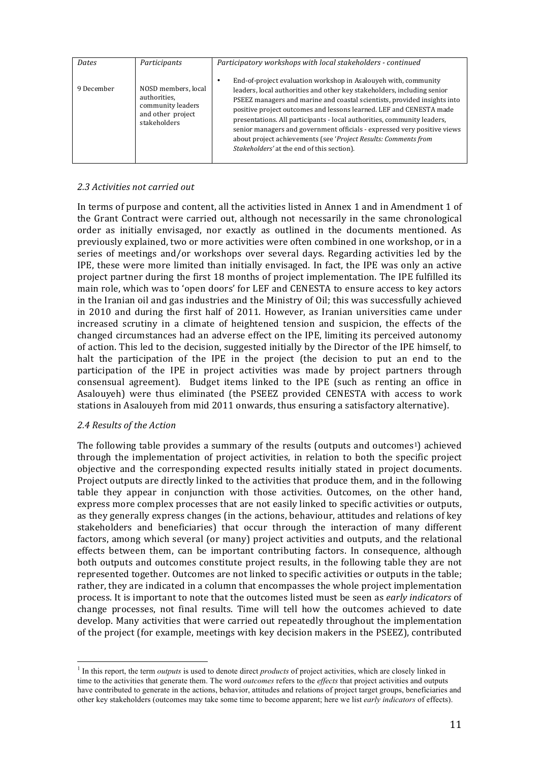| Dates      | Participants                                                                                  | Participatory workshops with local stakeholders - continued                                                                                                                                                                                                                                                                                                                                                                                                                                                                                                           |  |
|------------|-----------------------------------------------------------------------------------------------|-----------------------------------------------------------------------------------------------------------------------------------------------------------------------------------------------------------------------------------------------------------------------------------------------------------------------------------------------------------------------------------------------------------------------------------------------------------------------------------------------------------------------------------------------------------------------|--|
| 9 December | NOSD members, local<br>authorities,<br>community leaders<br>and other project<br>stakeholders | End-of-project evaluation workshop in Asalouyeh with, community<br>leaders, local authorities and other key stakeholders, including senior<br>PSEEZ managers and marine and coastal scientists, provided insights into<br>positive project outcomes and lessons learned. LEF and CENESTA made<br>presentations. All participants - local authorities, community leaders,<br>senior managers and government officials - expressed very positive views<br>about project achievements (see 'Project Results: Comments from<br>Stakeholders' at the end of this section). |  |

## *2.3 Activities not carried out*

In terms of purpose and content, all the activities listed in Annex 1 and in Amendment 1 of the Grant Contract were carried out, although not necessarily in the same chronological order as initially envisaged, nor exactly as outlined in the documents mentioned. As previously explained, two or more activities were often combined in one workshop, or in a series of meetings and/or workshops over several days. Regarding activities led by the IPE, these were more limited than initially envisaged. In fact, the IPE was only an active project partner during the first 18 months of project implementation. The IPE fulfilled its main role, which was to 'open doors' for LEF and CENESTA to ensure access to key actors in the Iranian oil and gas industries and the Ministry of Oil; this was successfully achieved in 2010 and during the first half of 2011. However, as Iranian universities came under increased scrutiny in a climate of heightened tension and suspicion, the effects of the changed circumstances had an adverse effect on the IPE, limiting its perceived autonomy of action. This led to the decision, suggested initially by the Director of the IPE himself, to halt the participation of the IPE in the project (the decision to put an end to the participation of the IPE in project activities was made by project partners through consensual agreement). Budget items linked to the IPE (such as renting an office in Asalouyeh) were thus eliminated (the PSEEZ provided CENESTA with access to work stations in Asalouyeh from mid 2011 onwards, thus ensuring a satisfactory alternative).

### *2.4 Results of the Action*

The following table provides a summary of the results (outputs and outcomes<sup>1</sup>) achieved through the implementation of project activities, in relation to both the specific project objective and the corresponding expected results initially stated in project documents. Project outputs are directly linked to the activities that produce them, and in the following table they appear in conjunction with those activities. Outcomes, on the other hand, express more complex processes that are not easily linked to specific activities or outputs, as they generally express changes (in the actions, behaviour, attitudes and relations of key stakeholders and beneficiaries) that occur through the interaction of many different factors, among which several (or many) project activities and outputs, and the relational effects between them, can be important contributing factors. In consequence, although both outputs and outcomes constitute project results, in the following table they are not represented together. Outcomes are not linked to specific activities or outputs in the table; rather, they are indicated in a column that encompasses the whole project implementation process. It is important to note that the outcomes listed must be seen as *early indicators* of change processes, not final results. Time will tell how the outcomes achieved to date develop. Many activities that were carried out repeatedly throughout the implementation of the project (for example, meetings with key decision makers in the PSEEZ), contributed

 <sup>1</sup> In this report, the term *outputs* is used to denote direct *products* of project activities, which are closely linked in time to the activities that generate them. The word *outcomes* refers to the *effects* that project activities and outputs have contributed to generate in the actions, behavior, attitudes and relations of project target groups, beneficiaries and other key stakeholders (outcomes may take some time to become apparent; here we list *early indicators* of effects).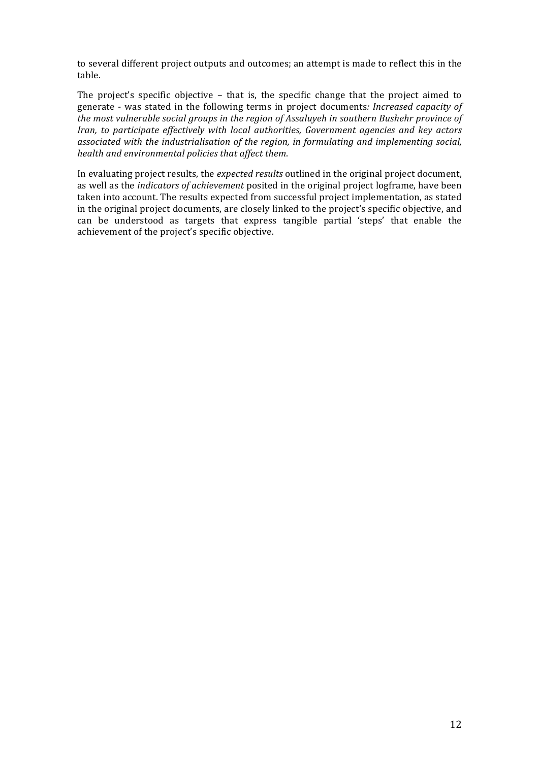to several different project outputs and outcomes; an attempt is made to reflect this in the table.

The project's specific objective  $-$  that is, the specific change that the project aimed to generate - was stated in the following terms in project documents: *Increased capacity of the most vulnerable social groups in the region of Assaluyeh in southern Bushehr province of Iran, to participate effectively with local authorities, Government agencies and key actors* associated with the industrialisation of the region, in formulating and implementing social, *health and environmental policies that affect them*.

In evaluating project results, the *expected results* outlined in the original project document, as well as the *indicators of achievement* posited in the original project logframe, have been taken into account. The results expected from successful project implementation, as stated in the original project documents, are closely linked to the project's specific objective, and can be understood as targets that express tangible partial 'steps' that enable the achievement of the project's specific objective.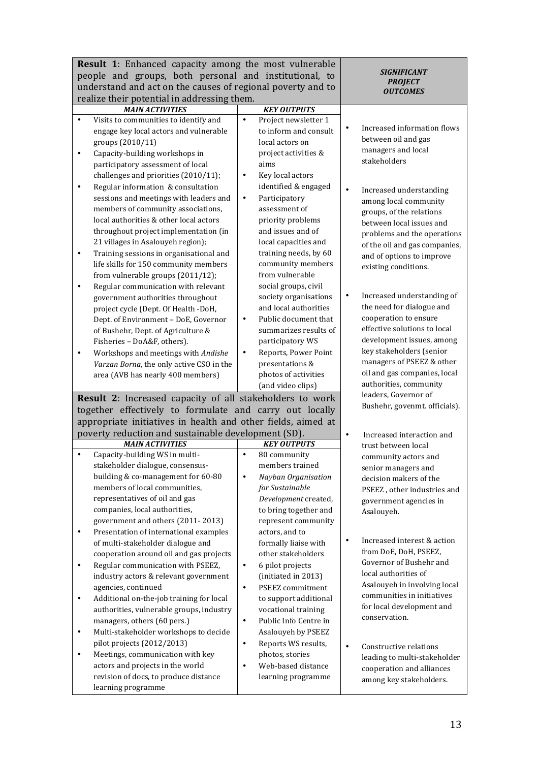| <b>Result 1:</b> Enhanced capacity among the most vulnerable                 |                                         |                                           |
|------------------------------------------------------------------------------|-----------------------------------------|-------------------------------------------|
| people and groups, both personal and institutional, to                       | SIGNIFICANT                             |                                           |
| understand and act on the causes of regional poverty and to                  | <b>PROJECT</b><br><b>OUTCOMES</b>       |                                           |
| realize their potential in addressing them.                                  |                                         |                                           |
| <b>MAIN ACTIVITIES</b>                                                       | <b>KEY OUTPUTS</b>                      |                                           |
| Visits to communities to identify and<br>$\bullet$                           | Project newsletter 1<br>$\bullet$       |                                           |
| engage key local actors and vulnerable                                       | to inform and consult                   | Increased information flows               |
| groups (2010/11)                                                             | local actors on                         | between oil and gas<br>managers and local |
| Capacity-building workshops in<br>$\bullet$                                  | project activities &                    | stakeholders                              |
| participatory assessment of local                                            | aims                                    |                                           |
| challenges and priorities (2010/11);                                         | Key local actors<br>$\bullet$           |                                           |
| Regular information & consultation<br>$\bullet$                              | identified & engaged                    | Increased understanding<br>$\bullet$      |
| sessions and meetings with leaders and                                       | Participatory<br>$\bullet$              | among local community                     |
| members of community associations,<br>local authorities & other local actors | assessment of                           | groups, of the relations                  |
| throughout project implementation (in                                        | priority problems<br>and issues and of  | between local issues and                  |
| 21 villages in Asalouyeh region);                                            | local capacities and                    | problems and the operations               |
| Training sessions in organisational and<br>$\bullet$                         | training needs, by 60                   | of the oil and gas companies,             |
| life skills for 150 community members                                        | community members                       | and of options to improve                 |
| from vulnerable groups (2011/12);                                            | from vulnerable                         | existing conditions.                      |
| Regular communication with relevant<br>٠                                     | social groups, civil                    |                                           |
| government authorities throughout                                            | society organisations                   | Increased understanding of<br>$\bullet$   |
| project cycle (Dept. Of Health -DoH,                                         | and local authorities                   | the need for dialogue and                 |
| Dept. of Environment - DoE, Governor                                         | Public document that<br>$\bullet$       | cooperation to ensure                     |
| of Bushehr, Dept. of Agriculture &                                           | summarizes results of                   | effective solutions to local              |
| Fisheries - DoA&F, others).                                                  | participatory WS                        | development issues, among                 |
| Workshops and meetings with Andishe<br>$\bullet$                             | Reports, Power Point<br>$\bullet$       | key stakeholders (senior                  |
| Varzan Borna, the only active CSO in the                                     | presentations &                         | managers of PSEEZ & other                 |
| area (AVB has nearly 400 members)                                            | photos of activities                    | oil and gas companies, local              |
|                                                                              | (and video clips)                       | authorities, community                    |
| Result 2: Increased capacity of all stakeholders to work                     |                                         | leaders, Governor of                      |
| together effectively to formulate and carry out locally                      |                                         | Bushehr, govenmt. officials).             |
| appropriate initiatives in health and other fields, aimed at                 |                                         |                                           |
| poverty reduction and sustainable development (SD).                          |                                         | Increased interaction and<br>$\bullet$    |
| <b>MAIN ACTIVITIES</b>                                                       | <b>KEY OUTPUTS</b>                      | trust between local                       |
| Capacity-building WS in multi-<br>$\bullet$                                  | 80 community<br>$\bullet$               | community actors and                      |
| stakeholder dialogue, consensus-                                             | members trained                         | senior managers and                       |
| building & co-management for 60-80                                           | Nayban Organisation<br>$\bullet$        | decision makers of the                    |
| members of local communities,<br>representatives of oil and gas              | for Sustainable<br>Development created, | PSEEZ, other industries and               |
| companies, local authorities,                                                | to bring together and                   | government agencies in                    |
| government and others (2011-2013)                                            | represent community                     | Asalouyeh.                                |
| Presentation of international examples<br>$\bullet$                          | actors, and to                          |                                           |
| of multi-stakeholder dialogue and                                            | formally liaise with                    | Increased interest & action<br>$\bullet$  |
| cooperation around oil and gas projects                                      | other stakeholders                      | from DoE, DoH, PSEEZ,                     |
| Regular communication with PSEEZ,<br>$\bullet$                               | 6 pilot projects<br>$\bullet$           | Governor of Bushehr and                   |
| industry actors & relevant government                                        | (initiated in 2013)                     | local authorities of                      |
| agencies, continued                                                          | PSEEZ commitment<br>$\bullet$           | Asalouyeh in involving local              |
| Additional on-the-job training for local<br>$\bullet$                        | to support additional                   | communities in initiatives                |
| authorities, vulnerable groups, industry                                     | vocational training                     | for local development and                 |
| managers, others (60 pers.)                                                  | Public Info Centre in<br>$\bullet$      | conservation.                             |
| Multi-stakeholder workshops to decide<br>$\bullet$                           | Asalouyeh by PSEEZ                      |                                           |
| pilot projects (2012/2013)                                                   | Reports WS results,<br>$\bullet$        | Constructive relations<br>$\bullet$       |
| Meetings, communication with key<br>$\bullet$                                | photos, stories                         | leading to multi-stakeholder              |
| actors and projects in the world                                             | Web-based distance<br>$\bullet$         | cooperation and alliances                 |
| revision of docs, to produce distance                                        | learning programme                      | among key stakeholders.                   |
| learning programme                                                           |                                         |                                           |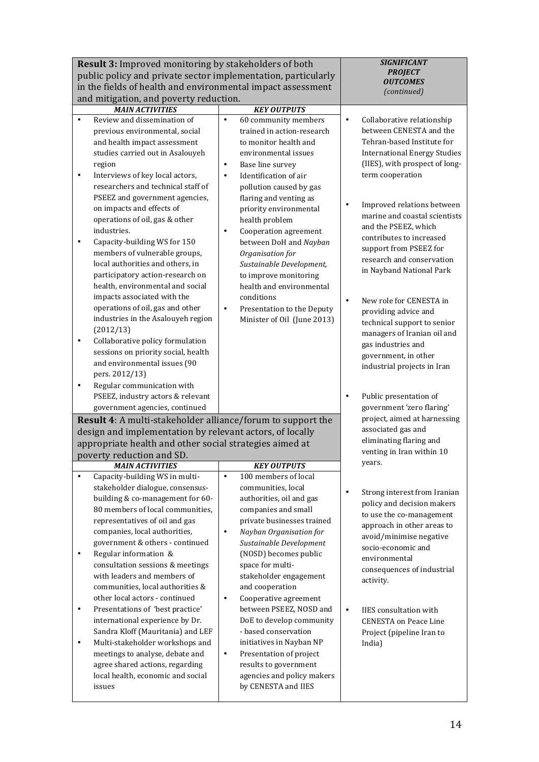| <b>Result 3:</b> Improved monitoring by stakeholders of both<br>public policy and private sector implementation, particularly<br>in the fields of health and environmental impact assessment |                                                                                                                                                                                                                                                                                                                                                                                                                                                                                                                                                                                                                                                      | <b>SIGNIFICANT</b><br><b>PROJECT</b><br><b>OUTCOMES</b>                                                                                                                                                                                                                                                                                                                                                                                                                                                                                 |                                                                                                                                                                                                                                                                                                                                                              |
|----------------------------------------------------------------------------------------------------------------------------------------------------------------------------------------------|------------------------------------------------------------------------------------------------------------------------------------------------------------------------------------------------------------------------------------------------------------------------------------------------------------------------------------------------------------------------------------------------------------------------------------------------------------------------------------------------------------------------------------------------------------------------------------------------------------------------------------------------------|-----------------------------------------------------------------------------------------------------------------------------------------------------------------------------------------------------------------------------------------------------------------------------------------------------------------------------------------------------------------------------------------------------------------------------------------------------------------------------------------------------------------------------------------|--------------------------------------------------------------------------------------------------------------------------------------------------------------------------------------------------------------------------------------------------------------------------------------------------------------------------------------------------------------|
|                                                                                                                                                                                              | and mitigation, and poverty reduction.                                                                                                                                                                                                                                                                                                                                                                                                                                                                                                                                                                                                               |                                                                                                                                                                                                                                                                                                                                                                                                                                                                                                                                         | (continued)                                                                                                                                                                                                                                                                                                                                                  |
|                                                                                                                                                                                              | <b>MAIN ACTIVITIES</b>                                                                                                                                                                                                                                                                                                                                                                                                                                                                                                                                                                                                                               | <b>KEY OUTPUTS</b>                                                                                                                                                                                                                                                                                                                                                                                                                                                                                                                      |                                                                                                                                                                                                                                                                                                                                                              |
| $\bullet$<br>$\bullet$                                                                                                                                                                       | Review and dissemination of<br>previous environmental, social<br>and health impact assessment<br>studies carried out in Asalouyeh<br>region<br>Interviews of key local actors,<br>researchers and technical staff of                                                                                                                                                                                                                                                                                                                                                                                                                                 | 60 community members<br>$\bullet$<br>trained in action-research<br>to monitor health and<br>environmental issues<br>Base line survey<br>$\bullet$<br>Identification of air<br>$\bullet$<br>pollution caused by gas                                                                                                                                                                                                                                                                                                                      | Collaborative relationship<br>$\bullet$<br>between CENESTA and the<br>Tehran-based Institute for<br><b>International Energy Studies</b><br>(IIES), with prospect of long-<br>term cooperation                                                                                                                                                                |
| $\bullet$                                                                                                                                                                                    | PSEEZ and government agencies,<br>on impacts and effects of<br>operations of oil, gas & other<br>industries.<br>Capacity-building WS for 150<br>members of vulnerable groups,<br>local authorities and others, in<br>participatory action-research on<br>health, environmental and social                                                                                                                                                                                                                                                                                                                                                            | flaring and venting as<br>priority environmental<br>health problem<br>Cooperation agreement<br>$\bullet$<br>between DoH and Nayban<br>Organisation for<br>Sustainable Development,<br>to improve monitoring<br>health and environmental                                                                                                                                                                                                                                                                                                 | Improved relations between<br>$\bullet$<br>marine and coastal scientists<br>and the PSEEZ, which<br>contributes to increased<br>support from PSEEZ for<br>research and conservation<br>in Nayband National Park                                                                                                                                              |
| $\bullet$<br>$\bullet$                                                                                                                                                                       | impacts associated with the<br>operations of oil, gas and other<br>industries in the Asalouyeh region<br>(2012/13)<br>Collaborative policy formulation<br>sessions on priority social, health<br>and environmental issues (90<br>pers. 2012/13)<br>Regular communication with                                                                                                                                                                                                                                                                                                                                                                        | conditions<br>Presentation to the Deputy<br>$\bullet$<br>Minister of Oil (June 2013)                                                                                                                                                                                                                                                                                                                                                                                                                                                    | New role for CENESTA in<br>$\bullet$<br>providing advice and<br>technical support to senior<br>managers of Iranian oil and<br>gas industries and<br>government, in other<br>industrial projects in Iran                                                                                                                                                      |
|                                                                                                                                                                                              | PSEEZ, industry actors & relevant<br>government agencies, continued                                                                                                                                                                                                                                                                                                                                                                                                                                                                                                                                                                                  |                                                                                                                                                                                                                                                                                                                                                                                                                                                                                                                                         | Public presentation of<br>$\bullet$<br>government 'zero flaring'                                                                                                                                                                                                                                                                                             |
| $\bullet$                                                                                                                                                                                    | Result 4: A multi-stakeholder alliance/forum to support the<br>design and implementation by relevant actors, of locally<br>appropriate health and other social strategies aimed at<br>poverty reduction and SD.<br><b>MAIN ACTIVITIES</b><br>Capacity-building WS in multi-                                                                                                                                                                                                                                                                                                                                                                          | <b>KEY OUTPUTS</b><br>100 members of local<br>$\bullet$                                                                                                                                                                                                                                                                                                                                                                                                                                                                                 | project, aimed at harnessing<br>associated gas and<br>eliminating flaring and<br>venting in Iran within 10<br>years.                                                                                                                                                                                                                                         |
| ٠<br>$\bullet$<br>$\bullet$                                                                                                                                                                  | stakeholder dialogue, consensus-<br>building & co-management for 60-<br>80 members of local communities,<br>representatives of oil and gas<br>companies, local authorities,<br>government & others - continued<br>Regular information &<br>consultation sessions & meetings<br>with leaders and members of<br>communities, local authorities &<br>other local actors - continued<br>Presentations of 'best practice'<br>international experience by Dr.<br>Sandra Kloff (Mauritania) and LEF<br>Multi-stakeholder workshops and<br>meetings to analyse, debate and<br>agree shared actions, regarding<br>local health, economic and social<br>issues | communities, local<br>authorities, oil and gas<br>companies and small<br>private businesses trained<br>Nayban Organisation for<br>$\bullet$<br>Sustainable Development<br>(NOSD) becomes public<br>space for multi-<br>stakeholder engagement<br>and cooperation<br>Cooperative agreement<br>$\bullet$<br>between PSEEZ, NOSD and<br>DoE to develop community<br>- based conservation<br>initiatives in Nayban NP<br>Presentation of project<br>$\bullet$<br>results to government<br>agencies and policy makers<br>by CENESTA and IIES | Strong interest from Iranian<br>$\bullet$<br>policy and decision makers<br>to use the co-management<br>approach in other areas to<br>avoid/minimise negative<br>socio-economic and<br>environmental<br>consequences of industrial<br>activity.<br>$\bullet$<br>IIES consultation with<br><b>CENESTA</b> on Peace Line<br>Project (pipeline Iran to<br>India) |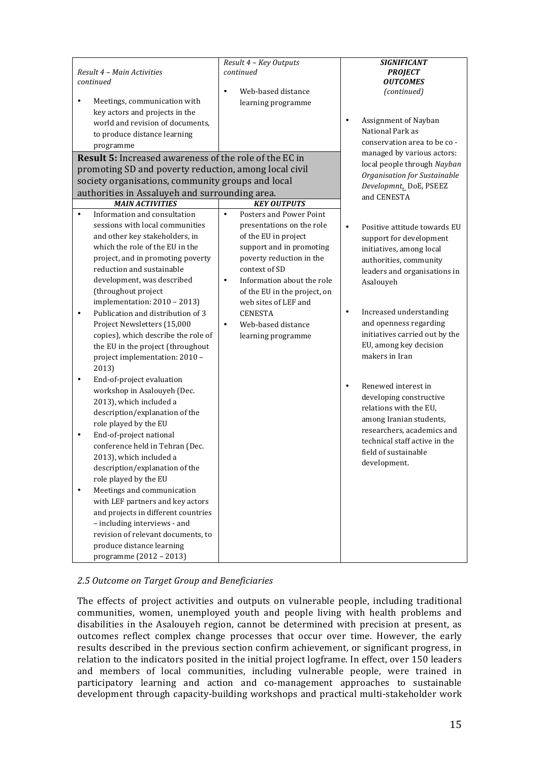| Result 4 - Main Activities<br>continued<br>Meetings, communication with<br>key actors and projects in the<br>world and revision of documents,<br>to produce distance learning<br>programme                                                                                                                                                                                                                               | Result 4 - Key Outputs<br>continued<br>Web-based distance<br>$\bullet$<br>learning programme                                                                                                                                                                                                             | <b>SIGNIFICANT</b><br><b>PROJECT</b><br><b>OUTCOMES</b><br>(continued)<br>Assignment of Nayban<br>$\bullet$<br>National Park as<br>conservation area to be co -                                                                                                                                                         |
|--------------------------------------------------------------------------------------------------------------------------------------------------------------------------------------------------------------------------------------------------------------------------------------------------------------------------------------------------------------------------------------------------------------------------|----------------------------------------------------------------------------------------------------------------------------------------------------------------------------------------------------------------------------------------------------------------------------------------------------------|-------------------------------------------------------------------------------------------------------------------------------------------------------------------------------------------------------------------------------------------------------------------------------------------------------------------------|
| <b>Result 5:</b> Increased awareness of the role of the EC in                                                                                                                                                                                                                                                                                                                                                            |                                                                                                                                                                                                                                                                                                          | managed by various actors:                                                                                                                                                                                                                                                                                              |
| promoting SD and poverty reduction, among local civil<br>society organisations, community groups and local<br>authorities in Assaluyeh and surrounding area.<br><b>MAIN ACTIVITIES</b>                                                                                                                                                                                                                                   | <b>KEY OUTPUTS</b>                                                                                                                                                                                                                                                                                       | local people through Nayban<br>Organisation for Sustainable<br>Developmnt, DoE, PSEEZ<br>and CENESTA                                                                                                                                                                                                                    |
| Information and consultation<br>$\bullet$                                                                                                                                                                                                                                                                                                                                                                                | Posters and Power Point<br>$\bullet$                                                                                                                                                                                                                                                                     |                                                                                                                                                                                                                                                                                                                         |
| sessions with local communities<br>and other key stakeholders, in<br>which the role of the EU in the<br>project, and in promoting poverty<br>reduction and sustainable<br>development, was described<br>(throughout project<br>implementation: 2010 - 2013)<br>Publication and distribution of 3<br>$\bullet$<br>Project Newsletters (15,000<br>copies), which describe the role of<br>the EU in the project (throughout | presentations on the role<br>of the EU in project<br>support and in promoting<br>poverty reduction in the<br>context of SD<br>Information about the role<br>$\bullet$<br>of the EU in the project, on<br>web sites of LEF and<br><b>CENESTA</b><br>Web-based distance<br>$\bullet$<br>learning programme | Positive attitude towards EU<br>$\bullet$<br>support for development<br>initiatives, among local<br>authorities, community<br>leaders and organisations in<br>Asalouyeh<br>Increased understanding<br>$\bullet$<br>and openness regarding<br>initiatives carried out by the<br>EU, among key decision<br>makers in Iran |
| project implementation: 2010 -<br>2013)                                                                                                                                                                                                                                                                                                                                                                                  |                                                                                                                                                                                                                                                                                                          |                                                                                                                                                                                                                                                                                                                         |
| End-of-project evaluation<br>workshop in Asalouyeh (Dec.<br>2013), which included a<br>description/explanation of the<br>role played by the EU                                                                                                                                                                                                                                                                           |                                                                                                                                                                                                                                                                                                          | Renewed interest in<br>$\bullet$<br>developing constructive<br>relations with the EU,<br>among Iranian students,<br>researchers, academics and                                                                                                                                                                          |
| End-of-project national<br>$\bullet$<br>conference held in Tehran (Dec.<br>2013), which included a<br>description/explanation of the<br>role played by the EU                                                                                                                                                                                                                                                            |                                                                                                                                                                                                                                                                                                          | technical staff active in the<br>field of sustainable<br>development.                                                                                                                                                                                                                                                   |
| Meetings and communication<br>$\bullet$<br>with LEF partners and key actors<br>and projects in different countries<br>- including interviews - and<br>revision of relevant documents, to<br>produce distance learning<br>programme (2012 - 2013)                                                                                                                                                                         |                                                                                                                                                                                                                                                                                                          |                                                                                                                                                                                                                                                                                                                         |

# 2.5 Outcome on Target Group and Beneficiaries

The effects of project activities and outputs on vulnerable people, including traditional communities, women, unemployed youth and people living with health problems and disabilities in the Asalouyeh region, cannot be determined with precision at present, as outcomes reflect complex change processes that occur over time. However, the early results described in the previous section confirm achievement, or significant progress, in relation to the indicators posited in the initial project logframe. In effect, over  $\overline{150}$  leaders and members of local communities, including vulnerable people, were trained in participatory learning and action and co-management approaches to sustainable development through capacity-building workshops and practical multi-stakeholder work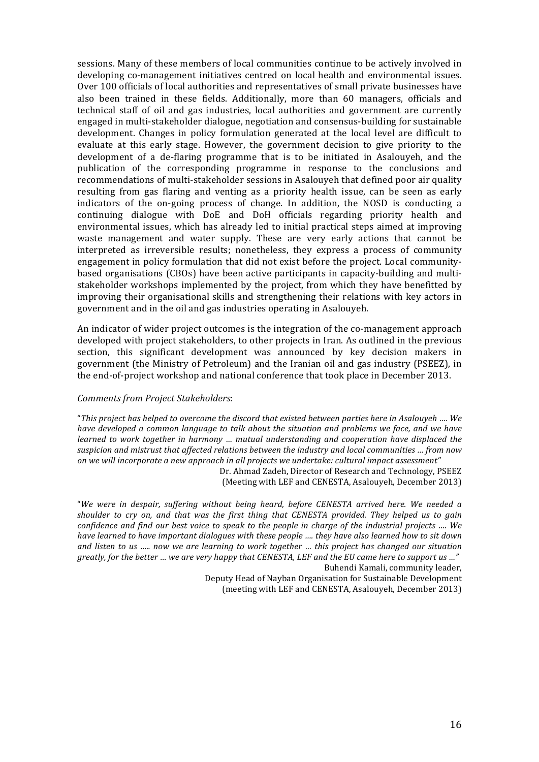sessions. Many of these members of local communities continue to be actively involved in developing co-management initiatives centred on local health and environmental issues. Over 100 officials of local authorities and representatives of small private businesses have also been trained in these fields. Additionally, more than 60 managers, officials and technical staff of oil and gas industries, local authorities and government are currently engaged in multi-stakeholder dialogue, negotiation and consensus-building for sustainable development. Changes in policy formulation generated at the local level are difficult to evaluate at this early stage. However, the government decision to give priority to the development of a de-flaring programme that is to be initiated in Asalouyeh, and the publication of the corresponding programme in response to the conclusions and recommendations of multi-stakeholder sessions in Asalouveh that defined poor air quality resulting from gas flaring and venting as a priority health issue, can be seen as early indicators of the on-going process of change. In addition, the NOSD is conducting a continuing dialogue with DoE and DoH officials regarding priority health and environmental issues, which has already led to initial practical steps aimed at improving waste management and water supply. These are very early actions that cannot be interpreted as irreversible results; nonetheless, they express a process of community engagement in policy formulation that did not exist before the project. Local communitybased organisations (CBOs) have been active participants in capacity-building and multistakeholder workshops implemented by the project, from which they have benefitted by improving their organisational skills and strengthening their relations with key actors in government and in the oil and gas industries operating in Asalouyeh.

An indicator of wider project outcomes is the integration of the co-management approach developed with project stakeholders, to other projects in Iran. As outlined in the previous section, this significant development was announced by key decision makers in government (the Ministry of Petroleum) and the Iranian oil and gas industry (PSEEZ), in the end-of-project workshop and national conference that took place in December 2013.

### *Comments from Project Stakeholders*:

"This project has helped to overcome the discord that existed between parties here in Asalouyeh .... We *have developed a common language to talk about the situation and problems we face, and we have learned to work together in harmony ... mutual understanding and cooperation have displaced the* suspicion and mistrust that affected relations between the industry and local communities ... from now on we will incorporate a new approach in all projects we undertake: cultural impact assessment"

Dr. Ahmad Zadeh, Director of Research and Technology, PSEEZ (Meeting with LEF and CENESTA, Asalouveh, December 2013)

"We were in despair, suffering without being heard, before CENESTA arrived here. We needed a shoulder to cry on, and that was the first thing that CENESTA provided. They helped us to gain *confidence and find our best voice to speak to the people in charge of the industrial projects ....* We *have learned to have important dialogues with these people .... they have also learned how to sit down* and listen to us ..... now we are learning to work together ... this project has changed our situation greatly, for the better ... we are very happy that CENESTA, LEF and the EU came here to support us ..." Buhendi Kamali, community leader,

Deputy Head of Nayban Organisation for Sustainable Development (meeting with LEF and CENESTA, Asalouyeh, December 2013)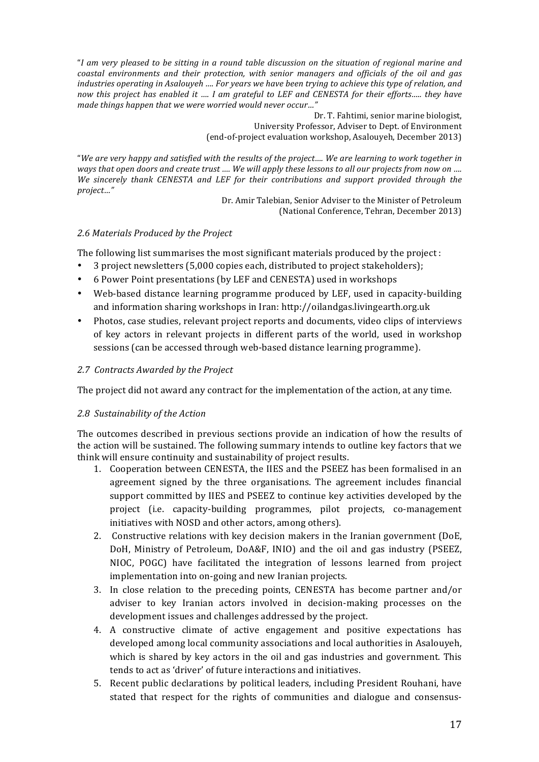"I am very pleased to be sitting in a round table discussion on the situation of regional marine and *coastal environments and their protection, with senior managers and officials of the oil and gas industries operating in Asalouyeh .... For years we have been trying to achieve this type of relation, and now this project has enabled it .... I am grateful to LEF and CENESTA for their efforts..... they have* made things happen that we were worried would never occur..."

> Dr. T. Fahtimi, senior marine biologist, University Professor, Adviser to Dept. of Environment (end-of-project evaluation workshop, Asalouveh, December 2013)

"We are very happy and satisfied with the results of the project.... We are learning to work together in *ways* that open doors and create trust .... We will apply these lessons to all our projects from now on .... *We sincerely thank CENESTA and LEF for their contributions and support provided through the project…"*

Dr. Amir Talebian, Senior Adviser to the Minister of Petroleum (National Conference, Tehran, December 2013)

# *2.6 Materials Produced by the Project*

The following list summarises the most significant materials produced by the project :

- 3 project newsletters (5,000 copies each, distributed to project stakeholders);
- 6 Power Point presentations (by LEF and CENESTA) used in workshops
- Web-based distance learning programme produced by LEF, used in capacity-building and information sharing workshops in Iran: http://oilandgas.livingearth.org.uk
- Photos, case studies, relevant project reports and documents, video clips of interviews of key actors in relevant projects in different parts of the world, used in workshop sessions (can be accessed through web-based distance learning programme).

# *2.7 Contracts Awarded by the Project*

The project did not award any contract for the implementation of the action, at any time.

# 2.8 Sustainability of the Action

The outcomes described in previous sections provide an indication of how the results of the action will be sustained. The following summary intends to outline key factors that we think will ensure continuity and sustainability of project results.

- 1. Cooperation between CENESTA, the IIES and the PSEEZ has been formalised in an agreement signed by the three organisations. The agreement includes financial support committed by IIES and PSEEZ to continue key activities developed by the project (i.e. capacity-building programmes, pilot projects, co-management initiatives with NOSD and other actors, among others).
- 2. Constructive relations with key decision makers in the Iranian government (DoE, DoH, Ministry of Petroleum, DoA&F, INIO) and the oil and gas industry (PSEEZ, NIOC, POGC) have facilitated the integration of lessons learned from project implementation into on-going and new Iranian projects.
- 3. In close relation to the preceding points, CENESTA has become partner and/or adviser to key Iranian actors involved in decision-making processes on the development issues and challenges addressed by the project.
- 4. A constructive climate of active engagement and positive expectations has developed among local community associations and local authorities in Asalouyeh, which is shared by key actors in the oil and gas industries and government. This tends to act as 'driver' of future interactions and initiatives.
- 5. Recent public declarations by political leaders, including President Rouhani, have stated that respect for the rights of communities and dialogue and consensus-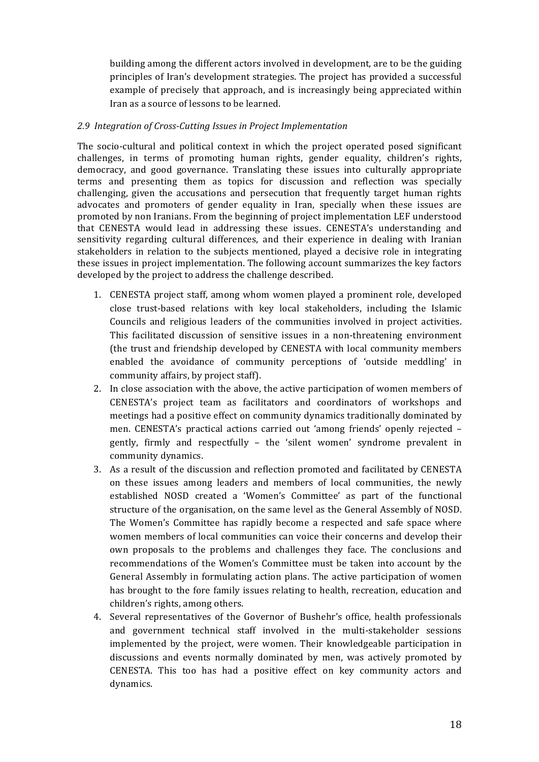building among the different actors involved in development, are to be the guiding principles of Iran's development strategies. The project has provided a successful example of precisely that approach, and is increasingly being appreciated within Iran as a source of lessons to be learned.

### *2.9 Integration of Cross-Cutting Issues in Project Implementation*

The socio-cultural and political context in which the project operated posed significant challenges, in terms of promoting human rights, gender equality, children's rights, democracy, and good governance. Translating these issues into culturally appropriate terms and presenting them as topics for discussion and reflection was specially challenging, given the accusations and persecution that frequently target human rights advocates and promoters of gender equality in Iran, specially when these issues are promoted by non Iranians. From the beginning of project implementation LEF understood that CENESTA would lead in addressing these issues. CENESTA's understanding and sensitivity regarding cultural differences, and their experience in dealing with Iranian stakeholders in relation to the subjects mentioned, played a decisive role in integrating these issues in project implementation. The following account summarizes the key factors developed by the project to address the challenge described.

- 1. CENESTA project staff, among whom women played a prominent role, developed close trust-based relations with key local stakeholders, including the Islamic Councils and religious leaders of the communities involved in project activities. This facilitated discussion of sensitive issues in a non-threatening environment (the trust and friendship developed by CENESTA with local community members enabled the avoidance of community perceptions of 'outside meddling' in community affairs, by project staff).
- 2. In close association with the above, the active participation of women members of CENESTA's project team as facilitators and coordinators of workshops and meetings had a positive effect on community dynamics traditionally dominated by men. CENESTA's practical actions carried out 'among friends' openly rejected – gently, firmly and respectfully - the 'silent women' syndrome prevalent in community dynamics.
- 3. As a result of the discussion and reflection promoted and facilitated by CENESTA on these issues among leaders and members of local communities, the newly established NOSD created a 'Women's Committee' as part of the functional structure of the organisation, on the same level as the General Assembly of NOSD. The Women's Committee has rapidly become a respected and safe space where women members of local communities can voice their concerns and develop their own proposals to the problems and challenges they face. The conclusions and recommendations of the Women's Committee must be taken into account by the General Assembly in formulating action plans. The active participation of women has brought to the fore family issues relating to health, recreation, education and children's rights, among others.
- 4. Several representatives of the Governor of Bushehr's office, health professionals and government technical staff involved in the multi-stakeholder sessions implemented by the project, were women. Their knowledgeable participation in discussions and events normally dominated by men, was actively promoted by CENESTA. This too has had a positive effect on key community actors and dynamics.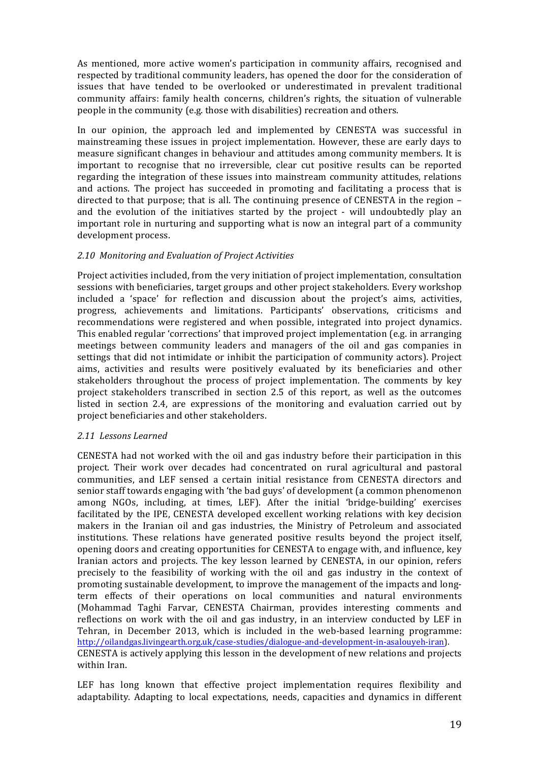As mentioned, more active women's participation in community affairs, recognised and respected by traditional community leaders, has opened the door for the consideration of issues that have tended to be overlooked or underestimated in prevalent traditional community affairs: family health concerns, children's rights, the situation of vulnerable people in the community (e.g. those with disabilities) recreation and others.

In our opinion, the approach led and implemented by CENESTA was successful in mainstreaming these issues in project implementation. However, these are early days to measure significant changes in behaviour and attitudes among community members. It is important to recognise that no irreversible, clear cut positive results can be reported regarding the integration of these issues into mainstream community attitudes, relations and actions. The project has succeeded in promoting and facilitating a process that is directed to that purpose; that is all. The continuing presence of CENESTA in the region  $$ and the evolution of the initiatives started by the project - will undoubtedly play an important role in nurturing and supporting what is now an integral part of a community development process.

### *2.10 Monitoring and Evaluation of Project Activities*

Project activities included, from the very initiation of project implementation, consultation sessions with beneficiaries, target groups and other project stakeholders. Every workshop included a 'space' for reflection and discussion about the project's aims, activities, progress, achievements and limitations. Participants' observations, criticisms and recommendations were registered and when possible, integrated into project dynamics. This enabled regular 'corrections' that improved project implementation (e.g. in arranging meetings between community leaders and managers of the oil and gas companies in settings that did not intimidate or inhibit the participation of community actors). Project aims, activities and results were positively evaluated by its beneficiaries and other stakeholders throughout the process of project implementation. The comments by key project stakeholders transcribed in section 2.5 of this report, as well as the outcomes listed in section  $2.4$ , are expressions of the monitoring and evaluation carried out by project beneficiaries and other stakeholders.

### *2.11 Lessons Learned*

CENESTA had not worked with the oil and gas industry before their participation in this project. Their work over decades had concentrated on rural agricultural and pastoral communities, and LEF sensed a certain initial resistance from CENESTA directors and senior staff towards engaging with 'the bad guys' of development (a common phenomenon among NGOs, including, at times, LEF). After the initial 'bridge-building' exercises facilitated by the IPE, CENESTA developed excellent working relations with key decision makers in the Iranian oil and gas industries, the Ministry of Petroleum and associated institutions. These relations have generated positive results beyond the project itself, opening doors and creating opportunities for CENESTA to engage with, and influence, key Iranian actors and projects. The key lesson learned by CENESTA, in our opinion, refers precisely to the feasibility of working with the oil and gas industry in the context of promoting sustainable development, to improve the management of the impacts and longterm effects of their operations on local communities and natural environments (Mohammad Taghi Farvar, CENESTA Chairman, provides interesting comments and reflections on work with the oil and gas industry, in an interview conducted by LEF in Tehran, in December 2013, which is included in the web-based learning programme: http://oilandgas.livingearth.org.uk/case-studies/dialogue-and-development-in-asalouyeh-iran). CENESTA is actively applying this lesson in the development of new relations and projects within Iran.

LEF has long known that effective project implementation requires flexibility and adaptability. Adapting to local expectations, needs, capacities and dynamics in different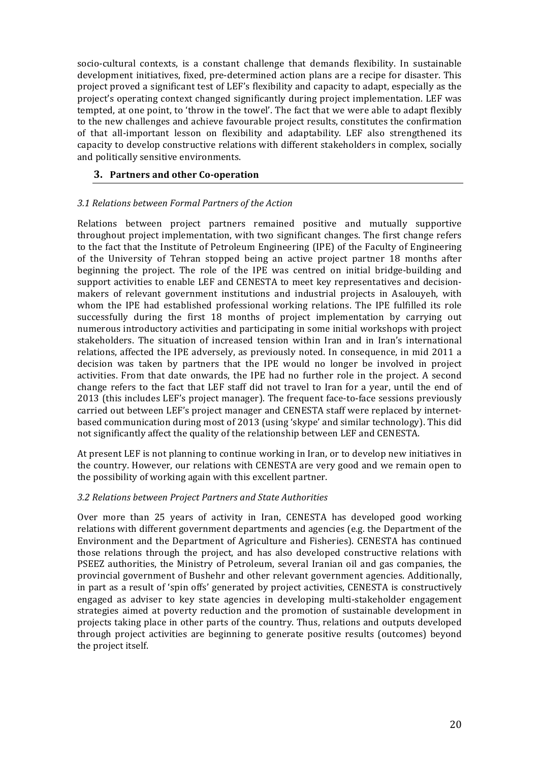socio-cultural contexts, is a constant challenge that demands flexibility. In sustainable development initiatives, fixed, pre-determined action plans are a recipe for disaster. This project proved a significant test of LEF's flexibility and capacity to adapt, especially as the project's operating context changed significantly during project implementation. LEF was tempted, at one point, to 'throw in the towel'. The fact that we were able to adapt flexibly to the new challenges and achieve favourable project results, constitutes the confirmation of that all-important lesson on flexibility and adaptability. LEF also strengthened its capacity to develop constructive relations with different stakeholders in complex, socially and politically sensitive environments.

## **3.** Partners and other Co-operation

# *3.1 Relations between Formal Partners of the Action*

Relations between project partners remained positive and mutually supportive throughout project implementation, with two significant changes. The first change refers to the fact that the Institute of Petroleum Engineering (IPE) of the Faculty of Engineering of the University of Tehran stopped being an active project partner 18 months after beginning the project. The role of the IPE was centred on initial bridge-building and support activities to enable LEF and CENESTA to meet key representatives and decisionmakers of relevant government institutions and industrial projects in Asalouyeh, with whom the IPE had established professional working relations. The IPE fulfilled its role successfully during the first 18 months of project implementation by carrying out numerous introductory activities and participating in some initial workshops with project stakeholders. The situation of increased tension within Iran and in Iran's international relations, affected the IPE adversely, as previously noted. In consequence, in mid 2011 a decision was taken by partners that the IPE would no longer be involved in project activities. From that date onwards, the IPE had no further role in the project. A second change refers to the fact that LEF staff did not travel to Iran for a year, until the end of 2013 (this includes LEF's project manager). The frequent face-to-face sessions previously carried out between LEF's project manager and CENESTA staff were replaced by internetbased communication during most of 2013 (using 'skype' and similar technology). This did not significantly affect the quality of the relationship between LEF and CENESTA.

At present LEF is not planning to continue working in Iran, or to develop new initiatives in the country. However, our relations with CENESTA are very good and we remain open to the possibility of working again with this excellent partner.

### *3.2 Relations between Project Partners and State Authorities*

Over more than 25 years of activity in Iran, CENESTA has developed good working relations with different government departments and agencies (e.g. the Department of the Environment and the Department of Agriculture and Fisheries). CENESTA has continued those relations through the project, and has also developed constructive relations with PSEEZ authorities, the Ministry of Petroleum, several Iranian oil and gas companies, the provincial government of Bushehr and other relevant government agencies. Additionally, in part as a result of 'spin offs' generated by project activities, CENESTA is constructively engaged as adviser to key state agencies in developing multi-stakeholder engagement strategies aimed at poverty reduction and the promotion of sustainable development in projects taking place in other parts of the country. Thus, relations and outputs developed through project activities are beginning to generate positive results (outcomes) beyond the project itself.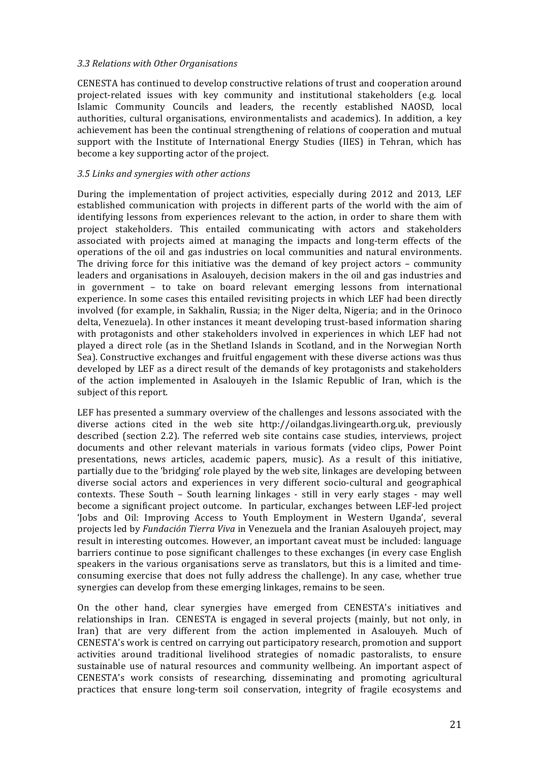### *3.3 Relations with Other Organisations*

CENESTA has continued to develop constructive relations of trust and cooperation around project-related issues with key community and institutional stakeholders (e.g. local Islamic Community Councils and leaders, the recently established NAOSD, local authorities, cultural organisations, environmentalists and academics). In addition, a key achievement has been the continual strengthening of relations of cooperation and mutual support with the Institute of International Energy Studies (IIES) in Tehran, which has become a key supporting actor of the project.

## *3.5 Links and synergies with other actions*

During the implementation of project activities, especially during 2012 and 2013, LEF established communication with projects in different parts of the world with the aim of identifying lessons from experiences relevant to the action, in order to share them with project stakeholders. This entailed communicating with actors and stakeholders associated with projects aimed at managing the impacts and long-term effects of the operations of the oil and gas industries on local communities and natural environments. The driving force for this initiative was the demand of key project actors  $-$  community leaders and organisations in Asalouyeh, decision makers in the oil and gas industries and in government  $-$  to take on board relevant emerging lessons from international experience. In some cases this entailed revisiting projects in which LEF had been directly involved (for example, in Sakhalin, Russia; in the Niger delta, Nigeria; and in the Orinoco delta, Venezuela). In other instances it meant developing trust-based information sharing with protagonists and other stakeholders involved in experiences in which LEF had not played a direct role (as in the Shetland Islands in Scotland, and in the Norwegian North Sea). Constructive exchanges and fruitful engagement with these diverse actions was thus developed by LEF as a direct result of the demands of key protagonists and stakeholders of the action implemented in Asalouyeh in the Islamic Republic of Iran, which is the subject of this report.

LEF has presented a summary overview of the challenges and lessons associated with the diverse actions cited in the web site http://oilandgas.livingearth.org.uk, previously described (section 2.2). The referred web site contains case studies, interviews, project documents and other relevant materials in various formats (video clips, Power Point presentations, news articles, academic papers, music). As a result of this initiative, partially due to the 'bridging' role played by the web site, linkages are developing between diverse social actors and experiences in very different socio-cultural and geographical contexts. These South - South learning linkages - still in very early stages - may well become a significant project outcome. In particular, exchanges between LEF-led project 'Jobs and Oil: Improving Access to Youth Employment in Western Uganda', several projects led by *Fundación Tierra Viva* in Venezuela and the Iranian Asalouyeh project, may result in interesting outcomes. However, an important caveat must be included: language barriers continue to pose significant challenges to these exchanges (in every case English speakers in the various organisations serve as translators, but this is a limited and timeconsuming exercise that does not fully address the challenge). In any case, whether true synergies can develop from these emerging linkages, remains to be seen.

On the other hand, clear synergies have emerged from CENESTA's initiatives and relationships in Iran. CENESTA is engaged in several projects (mainly, but not only, in Iran) that are very different from the action implemented in Asalouyeh. Much of CENESTA's work is centred on carrying out participatory research, promotion and support activities around traditional livelihood strategies of nomadic pastoralists, to ensure sustainable use of natural resources and community wellbeing. An important aspect of CENESTA's work consists of researching, disseminating and promoting agricultural practices that ensure long-term soil conservation, integrity of fragile ecosystems and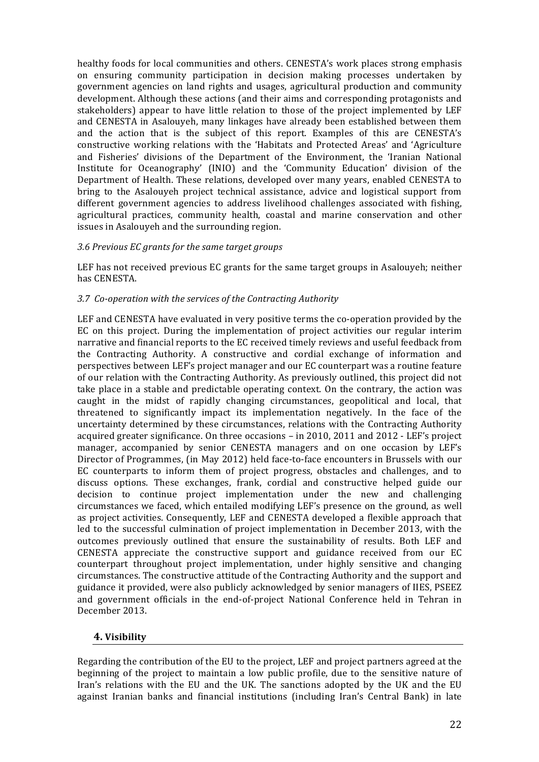healthy foods for local communities and others. CENESTA's work places strong emphasis on ensuring community participation in decision making processes undertaken by government agencies on land rights and usages, agricultural production and community development. Although these actions (and their aims and corresponding protagonists and stakeholders) appear to have little relation to those of the project implemented by LEF and CENESTA in Asalouyeh, many linkages have already been established between them and the action that is the subject of this report. Examples of this are CENESTA's constructive working relations with the 'Habitats and Protected Areas' and 'Agriculture and Fisheries' divisions of the Department of the Environment, the 'Iranian National Institute for Oceanography' (INIO) and the 'Community Education' division of the Department of Health. These relations, developed over many years, enabled CENESTA to bring to the Asalouyeh project technical assistance, advice and logistical support from different government agencies to address livelihood challenges associated with fishing, agricultural practices, community health, coastal and marine conservation and other issues in Asalouyeh and the surrounding region.

### *3.6 Previous EC grants for the same target groups*

LEF has not received previous EC grants for the same target groups in Asalouveh; neither has CENESTA.

### *3.7 Co-operation with the services of the Contracting Authority*

LEF and CENESTA have evaluated in very positive terms the co-operation provided by the EC on this project. During the implementation of project activities our regular interim narrative and financial reports to the EC received timely reviews and useful feedback from the Contracting Authority. A constructive and cordial exchange of information and perspectives between LEF's project manager and our EC counterpart was a routine feature of our relation with the Contracting Authority. As previously outlined, this project did not take place in a stable and predictable operating context. On the contrary, the action was caught in the midst of rapidly changing circumstances, geopolitical and local, that threatened to significantly impact its implementation negatively. In the face of the uncertainty determined by these circumstances, relations with the Contracting Authority acquired greater significance. On three occasions - in 2010, 2011 and 2012 - LEF's project manager, accompanied by senior CENESTA managers and on one occasion by LEF's Director of Programmes, (in May 2012) held face-to-face encounters in Brussels with our EC counterparts to inform them of project progress, obstacles and challenges, and to discuss options. These exchanges, frank, cordial and constructive helped guide our decision to continue project implementation under the new and challenging circumstances we faced, which entailed modifying LEF's presence on the ground, as well as project activities. Consequently, LEF and CENESTA developed a flexible approach that led to the successful culmination of project implementation in December 2013, with the outcomes previously outlined that ensure the sustainability of results. Both LEF and CENESTA appreciate the constructive support and guidance received from our EC counterpart throughout project implementation, under highly sensitive and changing circumstances. The constructive attitude of the Contracting Authority and the support and guidance it provided, were also publicly acknowledged by senior managers of IIES, PSEEZ and government officials in the end-of-project National Conference held in Tehran in December 2013.

# **4. Visibility**

Regarding the contribution of the EU to the project, LEF and project partners agreed at the beginning of the project to maintain a low public profile, due to the sensitive nature of Iran's relations with the EU and the UK. The sanctions adopted by the UK and the EU against Iranian banks and financial institutions (including Iran's Central Bank) in late